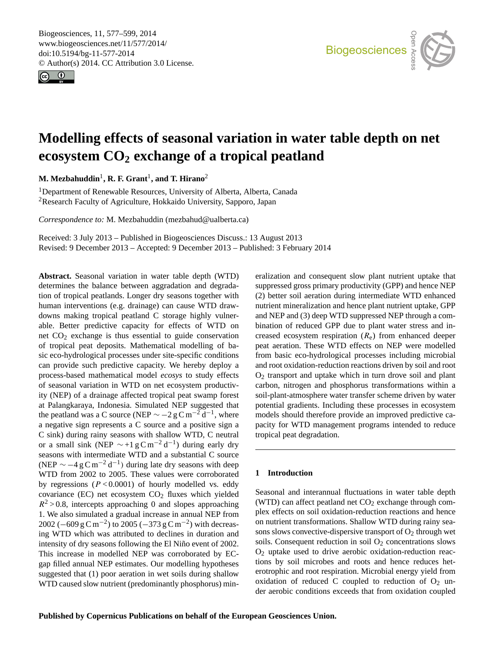<span id="page-0-0"></span>Biogeosciences, 11, 577–599, 2014 www.biogeosciences.net/11/577/2014/ doi:10.5194/bg-11-577-2014 © Author(s) 2014. CC Attribution 3.0 License.





# **Modelling effects of seasonal variation in water table depth on net ecosystem CO<sup>2</sup> exchange of a tropical peatland**

**M. Mezbahuddin**<sup>1</sup> **, R. F. Grant**<sup>1</sup> **, and T. Hirano**<sup>2</sup>

<sup>1</sup>Department of Renewable Resources, University of Alberta, Alberta, Canada <sup>2</sup>Research Faculty of Agriculture, Hokkaido University, Sapporo, Japan

*Correspondence to:* M. Mezbahuddin (mezbahud@ualberta.ca)

Received: 3 July 2013 – Published in Biogeosciences Discuss.: 13 August 2013 Revised: 9 December 2013 – Accepted: 9 December 2013 – Published: 3 February 2014

**Abstract.** Seasonal variation in water table depth (WTD) determines the balance between aggradation and degradation of tropical peatlands. Longer dry seasons together with human interventions (e.g. drainage) can cause WTD drawdowns making tropical peatland C storage highly vulnerable. Better predictive capacity for effects of WTD on net  $CO<sub>2</sub>$  exchange is thus essential to guide conservation of tropical peat deposits. Mathematical modelling of basic eco-hydrological processes under site-specific conditions can provide such predictive capacity. We hereby deploy a process-based mathematical model *ecosys* to study effects of seasonal variation in WTD on net ecosystem productivity (NEP) of a drainage affected tropical peat swamp forest at Palangkaraya, Indonesia. Simulated NEP suggested that the peatland was a C source (NEP  $\sim -2 g C m^{-2} d^{-1}$ , where a negative sign represents a C source and a positive sign a C sink) during rainy seasons with shallow WTD, C neutral or a small sink (NEP  $\sim +1$  g C m<sup>-2</sup> d<sup>-1</sup>) during early dry seasons with intermediate WTD and a substantial C source (NEP  $\sim -4 \text{ g C m}^{-2} \text{ d}^{-1}$ ) during late dry seasons with deep WTD from 2002 to 2005. These values were corroborated by regressions ( $P < 0.0001$ ) of hourly modelled vs. eddy covariance (EC) net ecosystem  $CO<sub>2</sub>$  fluxes which yielded  $R^2$  > 0.8, intercepts approaching 0 and slopes approaching 1. We also simulated a gradual increase in annual NEP from 2002 ( $-609 \text{ g C m}^{-2}$ ) to 2005 ( $-373 \text{ g C m}^{-2}$ ) with decreasing WTD which was attributed to declines in duration and intensity of dry seasons following the El Niño event of 2002. This increase in modelled NEP was corroborated by ECgap filled annual NEP estimates. Our modelling hypotheses suggested that (1) poor aeration in wet soils during shallow WTD caused slow nutrient (predominantly phosphorus) mineralization and consequent slow plant nutrient uptake that suppressed gross primary productivity (GPP) and hence NEP (2) better soil aeration during intermediate WTD enhanced nutrient mineralization and hence plant nutrient uptake, GPP and NEP and (3) deep WTD suppressed NEP through a combination of reduced GPP due to plant water stress and increased ecosystem respiration  $(R_e)$  from enhanced deeper peat aeration. These WTD effects on NEP were modelled from basic eco-hydrological processes including microbial and root oxidation-reduction reactions driven by soil and root  $O<sub>2</sub>$  transport and uptake which in turn drove soil and plant carbon, nitrogen and phosphorus transformations within a soil-plant-atmosphere water transfer scheme driven by water potential gradients. Including these processes in ecosystem models should therefore provide an improved predictive capacity for WTD management programs intended to reduce tropical peat degradation.

## **1 Introduction**

Seasonal and interannual fluctuations in water table depth (WTD) can affect peatland net  $CO<sub>2</sub>$  exchange through complex effects on soil oxidation-reduction reactions and hence on nutrient transformations. Shallow WTD during rainy seasons slows convective-dispersive transport of  $O_2$  through wet soils. Consequent reduction in soil  $O<sub>2</sub>$  concentrations slows  $O<sub>2</sub>$  uptake used to drive aerobic oxidation-reduction reactions by soil microbes and roots and hence reduces heterotrophic and root respiration. Microbial energy yield from oxidation of reduced C coupled to reduction of  $O_2$  under aerobic conditions exceeds that from oxidation coupled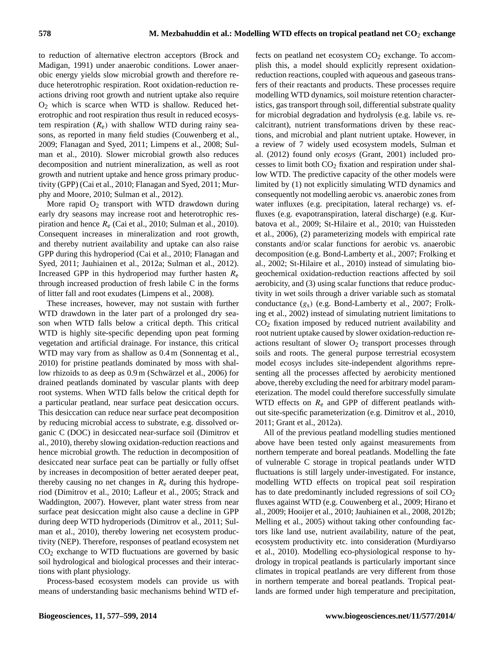to reduction of alternative electron acceptors (Brock and Madigan, 1991) under anaerobic conditions. Lower anaerobic energy yields slow microbial growth and therefore reduce heterotrophic respiration. Root oxidation-reduction reactions driving root growth and nutrient uptake also require O<sup>2</sup> which is scarce when WTD is shallow. Reduced heterotrophic and root respiration thus result in reduced ecosystem respiration  $(R_e)$  with shallow WTD during rainy seasons, as reported in many field studies (Couwenberg et al., 2009; Flanagan and Syed, 2011; Limpens et al., 2008; Sulman et al., 2010). Slower microbial growth also reduces decomposition and nutrient mineralization, as well as root growth and nutrient uptake and hence gross primary productivity (GPP) (Cai et al., 2010; Flanagan and Syed, 2011; Murphy and Moore, 2010; Sulman et al., 2012).

More rapid  $O_2$  transport with WTD drawdown during early dry seasons may increase root and heterotrophic respiration and hence  $R_e$  (Cai et al., 2010; Sulman et al., 2010). Consequent increases in mineralization and root growth, and thereby nutrient availability and uptake can also raise GPP during this hydroperiod (Cai et al., 2010; Flanagan and Syed, 2011; Jauhiainen et al., 2012a; Sulman et al., 2012). Increased GPP in this hydroperiod may further hasten  $R_e$ through increased production of fresh labile C in the forms of litter fall and root exudates (Limpens et al., 2008).

These increases, however, may not sustain with further WTD drawdown in the later part of a prolonged dry season when WTD falls below a critical depth. This critical WTD is highly site-specific depending upon peat forming vegetation and artificial drainage. For instance, this critical WTD may vary from as shallow as  $0.4$  m (Sonnentag et al., 2010) for pristine peatlands dominated by moss with shallow rhizoids to as deep as 0.9 m (Schwärzel et al., 2006) for drained peatlands dominated by vascular plants with deep root systems. When WTD falls below the critical depth for a particular peatland, near surface peat desiccation occurs. This desiccation can reduce near surface peat decomposition by reducing microbial access to substrate, e.g. dissolved organic C (DOC) in desiccated near-surface soil (Dimitrov et al., 2010), thereby slowing oxidation-reduction reactions and hence microbial growth. The reduction in decomposition of desiccated near surface peat can be partially or fully offset by increases in decomposition of better aerated deeper peat, thereby causing no net changes in  $R_e$  during this hydroperiod (Dimitrov et al., 2010; Lafleur et al., 2005; Strack and Waddington, 2007). However, plant water stress from near surface peat desiccation might also cause a decline in GPP during deep WTD hydroperiods (Dimitrov et al., 2011; Sulman et al., 2010), thereby lowering net ecosystem productivity (NEP). Therefore, responses of peatland ecosystem net  $CO<sub>2</sub>$  exchange to WTD fluctuations are governed by basic soil hydrological and biological processes and their interactions with plant physiology.

Process-based ecosystem models can provide us with means of understanding basic mechanisms behind WTD effects on peatland net ecosystem  $CO<sub>2</sub>$  exchange. To accomplish this, a model should explicitly represent oxidationreduction reactions, coupled with aqueous and gaseous transfers of their reactants and products. These processes require modelling WTD dynamics, soil moisture retention characteristics, gas transport through soil, differential substrate quality for microbial degradation and hydrolysis (e.g. labile vs. recalcitrant), nutrient transformations driven by these reactions, and microbial and plant nutrient uptake. However, in a review of 7 widely used ecosystem models, Sulman et al. (2012) found only *ecosys* (Grant, 2001) included processes to limit both  $CO<sub>2</sub>$  fixation and respiration under shallow WTD. The predictive capacity of the other models were limited by (1) not explicitly simulating WTD dynamics and consequently not modelling aerobic vs. anaerobic zones from water influxes (e.g. precipitation, lateral recharge) vs. effluxes (e.g. evapotranspiration, lateral discharge) (e.g. Kurbatova et al., 2009; St-Hilaire et al., 2010; van Huissteden et al., 2006), (2) parameterizing models with empirical rate constants and/or scalar functions for aerobic vs. anaerobic decomposition (e.g. Bond-Lamberty et al., 2007; Frolking et al., 2002; St-Hilaire et al., 2010) instead of simulating biogeochemical oxidation-reduction reactions affected by soil aerobicity, and (3) using scalar functions that reduce productivity in wet soils through a driver variable such as stomatal conductance (gs) (e.g. Bond-Lamberty et al., 2007; Frolking et al., 2002) instead of simulating nutrient limitations to  $CO<sub>2</sub>$  fixation imposed by reduced nutrient availability and root nutrient uptake caused by slower oxidation-reduction reactions resultant of slower  $O_2$  transport processes through soils and roots. The general purpose terrestrial ecosystem model *ecosys* includes site-independent algorithms representing all the processes affected by aerobicity mentioned above, thereby excluding the need for arbitrary model parameterization. The model could therefore successfully simulate WTD effects on  $R_{e}$  and GPP of different peatlands without site-specific parameterization (e.g. Dimitrov et al., 2010, 2011; Grant et al., 2012a).

All of the previous peatland modelling studies mentioned above have been tested only against measurements from northern temperate and boreal peatlands. Modelling the fate of vulnerable C storage in tropical peatlands under WTD fluctuations is still largely under-investigated. For instance, modelling WTD effects on tropical peat soil respiration has to date predominantly included regressions of soil  $CO<sub>2</sub>$ fluxes against WTD (e.g. Couwenberg et al., 2009; Hirano et al., 2009; Hooijer et al., 2010; Jauhiainen et al., 2008, 2012b; Melling et al., 2005) without taking other confounding factors like land use, nutrient availability, nature of the peat, ecosystem productivity etc. into consideration (Murdiyarso et al., 2010). Modelling eco-physiological response to hydrology in tropical peatlands is particularly important since climates in tropical peatlands are very different from those in northern temperate and boreal peatlands. Tropical peatlands are formed under high temperature and precipitation,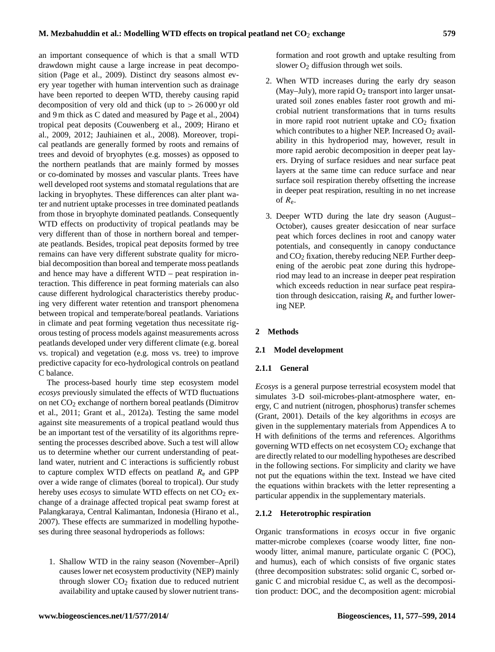an important consequence of which is that a small WTD drawdown might cause a large increase in peat decomposition (Page et al., 2009). Distinct dry seasons almost every year together with human intervention such as drainage have been reported to deepen WTD, thereby causing rapid decomposition of very old and thick (up to > 26 000 yr old and 9 m thick as C dated and measured by Page et al., 2004) tropical peat deposits (Couwenberg et al., 2009; Hirano et al., 2009, 2012; Jauhiainen et al., 2008). Moreover, tropical peatlands are generally formed by roots and remains of trees and devoid of bryophytes (e.g. mosses) as opposed to the northern peatlands that are mainly formed by mosses or co-dominated by mosses and vascular plants. Trees have well developed root systems and stomatal regulations that are lacking in bryophytes. These differences can alter plant water and nutrient uptake processes in tree dominated peatlands from those in bryophyte dominated peatlands. Consequently WTD effects on productivity of tropical peatlands may be very different than of those in northern boreal and temperate peatlands. Besides, tropical peat deposits formed by tree remains can have very different substrate quality for microbial decomposition than boreal and temperate moss peatlands and hence may have a different WTD – peat respiration interaction. This difference in peat forming materials can also cause different hydrological characteristics thereby producing very different water retention and transport phenomena between tropical and temperate/boreal peatlands. Variations in climate and peat forming vegetation thus necessitate rigorous testing of process models against measurements across peatlands developed under very different climate (e.g. boreal vs. tropical) and vegetation (e.g. moss vs. tree) to improve predictive capacity for eco-hydrological controls on peatland C balance.

The process-based hourly time step ecosystem model *ecosys* previously simulated the effects of WTD fluctuations on net CO<sup>2</sup> exchange of northern boreal peatlands (Dimitrov et al., 2011; Grant et al., 2012a). Testing the same model against site measurements of a tropical peatland would thus be an important test of the versatility of its algorithms representing the processes described above. Such a test will allow us to determine whether our current understanding of peatland water, nutrient and C interactions is sufficiently robust to capture complex WTD effects on peatland  $R_{e}$  and GPP over a wide range of climates (boreal to tropical). Our study hereby uses  $ecosys$  to simulate WTD effects on net  $CO<sub>2</sub>$  exchange of a drainage affected tropical peat swamp forest at Palangkaraya, Central Kalimantan, Indonesia (Hirano et al., 2007). These effects are summarized in modelling hypotheses during three seasonal hydroperiods as follows:

1. Shallow WTD in the rainy season (November–April) causes lower net ecosystem productivity (NEP) mainly through slower  $CO<sub>2</sub>$  fixation due to reduced nutrient availability and uptake caused by slower nutrient transformation and root growth and uptake resulting from slower  $O_2$  diffusion through wet soils.

- 2. When WTD increases during the early dry season (May–July), more rapid  $O_2$  transport into larger unsaturated soil zones enables faster root growth and microbial nutrient transformations that in turns results in more rapid root nutrient uptake and  $CO<sub>2</sub>$  fixation which contributes to a higher NEP. Increased  $O_2$  availability in this hydroperiod may, however, result in more rapid aerobic decomposition in deeper peat layers. Drying of surface residues and near surface peat layers at the same time can reduce surface and near surface soil respiration thereby offsetting the increase in deeper peat respiration, resulting in no net increase of  $R_e$ .
- 3. Deeper WTD during the late dry season (August– October), causes greater desiccation of near surface peat which forces declines in root and canopy water potentials, and consequently in canopy conductance and  $CO<sub>2</sub>$  fixation, thereby reducing NEP. Further deepening of the aerobic peat zone during this hydroperiod may lead to an increase in deeper peat respiration which exceeds reduction in near surface peat respiration through desiccation, raising  $R_e$  and further lowering NEP.

# **2 Methods**

# **2.1 Model development**

## **2.1.1 General**

*Ecosys* is a general purpose terrestrial ecosystem model that simulates 3-D soil-microbes-plant-atmosphere water, energy, C and nutrient (nitrogen, phosphorus) transfer schemes (Grant, 2001). Details of the key algorithms in *ecosys* are given in the supplementary materials from Appendices A to H with definitions of the terms and references. Algorithms governing WTD effects on net ecosystem CO<sub>2</sub> exchange that are directly related to our modelling hypotheses are described in the following sections. For simplicity and clarity we have not put the equations within the text. Instead we have cited the equations within brackets with the letter representing a particular appendix in the supplementary materials.

## **2.1.2 Heterotrophic respiration**

Organic transformations in *ecosys* occur in five organic matter-microbe complexes (coarse woody litter, fine nonwoody litter, animal manure, particulate organic C (POC), and humus), each of which consists of five organic states (three decomposition substrates: solid organic C, sorbed organic C and microbial residue C, as well as the decomposition product: DOC, and the decomposition agent: microbial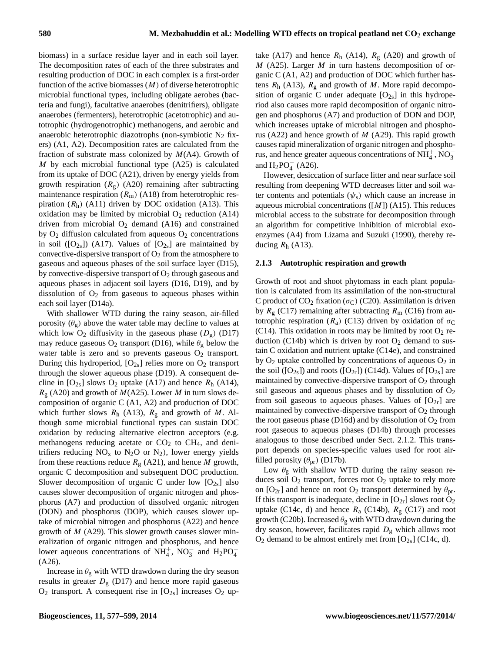biomass) in a surface residue layer and in each soil layer. The decomposition rates of each of the three substrates and resulting production of DOC in each complex is a first-order function of the active biomasses  $(M)$  of diverse heterotrophic microbial functional types, including obligate aerobes (bacteria and fungi), facultative anaerobes (denitrifiers), obligate anaerobes (fermenters), heterotrophic (acetotrophic) and autotrophic (hydrogenotrophic) methanogens, and aerobic and anaerobic heterotrophic diazotrophs (non-symbiotic  $N_2$  fixers) (A1, A2). Decomposition rates are calculated from the fraction of substrate mass colonized by  $M(A4)$ . Growth of M by each microbial functional type  $(A25)$  is calculated from its uptake of DOC (A21), driven by energy yields from growth respiration  $(R_g)$  (A20) remaining after subtracting maintenance respiration  $(R<sub>m</sub>)$  (A18) from heterotrophic respiration  $(R_h)$  (A11) driven by DOC oxidation (A13). This oxidation may be limited by microbial  $O_2$  reduction (A14) driven from microbial  $O_2$  demand (A16) and constrained by  $O_2$  diffusion calculated from aqueous  $O_2$  concentrations in soil ( $[O_{2s}]$ ) (A17). Values of  $[O_{2s}]$  are maintained by convective-dispersive transport of  $O_2$  from the atmosphere to gaseous and aqueous phases of the soil surface layer (D15), by convective-dispersive transport of  $O_2$  through gaseous and aqueous phases in adjacent soil layers (D16, D19), and by dissolution of  $O_2$  from gaseous to aqueous phases within each soil layer (D14a).

With shallower WTD during the rainy season, air-filled porosity  $(\theta_{\rm g})$  above the water table may decline to values at which low  $O_2$  diffusivity in the gaseous phase  $(D_g)$  (D17) may reduce gaseous  $O_2$  transport (D16), while  $\theta_g$  below the water table is zero and so prevents gaseous  $O_2$  transport. During this hydroperiod,  $[O_{2s}]$  relies more on  $O_2$  transport through the slower aqueous phase (D19). A consequent decline in  $[O_{2s}]$  slows  $O_2$  uptake (A17) and hence  $R_h$  (A14),  $R_{\rm g}$  (A20) and growth of  $M$ (A25). Lower M in turn slows decomposition of organic C (A1, A2) and production of DOC which further slows  $R_h$  (A13),  $R_g$  and growth of M. Although some microbial functional types can sustain DOC oxidation by reducing alternative electron acceptors (e.g. methanogens reducing acetate or  $CO<sub>2</sub>$  to  $CH<sub>4</sub>$ , and denitrifiers reducing  $NO<sub>x</sub>$  to  $N<sub>2</sub>O$  or  $N<sub>2</sub>$ ), lower energy yields from these reactions reduce  $R<sub>g</sub>$  (A21), and hence M growth, organic C decomposition and subsequent DOC production. Slower decomposition of organic C under low  $[O_{2s}]$  also causes slower decomposition of organic nitrogen and phosphorus (A7) and production of dissolved organic nitrogen (DON) and phosphorus (DOP), which causes slower uptake of microbial nitrogen and phosphorus (A22) and hence growth of  $M$  (A29). This slower growth causes slower mineralization of organic nitrogen and phosphorus, and hence lower aqueous concentrations of  $NH_4^+$ ,  $NO_3^-$  and  $H_2PO_4^-$ (A26).

Increase in  $\theta_{\rm g}$  with WTD drawdown during the dry season results in greater  $D<sub>g</sub>$  (D17) and hence more rapid gaseous  $O_2$  transport. A consequent rise in  $[O_{2s}]$  increases  $O_2$  uptake (A17) and hence  $R_h$  (A14),  $R_g$  (A20) and growth of  $M$  (A25). Larger  $M$  in turn hastens decomposition of organic C (A1, A2) and production of DOC which further hastens  $R_h$  (A13),  $R_g$  and growth of M. More rapid decomposition of organic C under adequate  $[O_{2s}]$  in this hydroperiod also causes more rapid decomposition of organic nitrogen and phosphorus (A7) and production of DON and DOP, which increases uptake of microbial nitrogen and phosphorus (A22) and hence growth of  $M$  (A29). This rapid growth causes rapid mineralization of organic nitrogen and phosphorus, and hence greater aqueous concentrations of  $NH<sub>4</sub><sup>+</sup>$ , NO<sub>3</sub> and  $H_2PO_4^-$  (A26).

However, desiccation of surface litter and near surface soil resulting from deepening WTD decreases litter and soil water contents and potentials  $(\psi_s)$  which cause an increase in aqueous microbial concentrations  $([M])$  (A15). This reduces microbial access to the substrate for decomposition through an algorithm for competitive inhibition of microbial exoenzymes (A4) from Lizama and Suzuki (1990), thereby reducing  $R_h$  (A13).

#### **2.1.3 Autotrophic respiration and growth**

Growth of root and shoot phytomass in each plant population is calculated from its assimilation of the non-structural C product of  $CO_2$  fixation ( $\sigma$ C) (C20). Assimilation is driven by  $R_{\rm g}$  (C17) remaining after subtracting  $R_{\rm m}$  (C16) from autotrophic respiration ( $R_a$ ) (C13) driven by oxidation of  $\sigma_C$ (C14). This oxidation in roots may be limited by root  $O_2$  reduction (C14b) which is driven by root  $O_2$  demand to sustain C oxidation and nutrient uptake (C14e), and constrained by  $O_2$  uptake controlled by concentrations of aqueous  $O_2$  in the soil  $([O_{2s}])$  and roots  $([O_{2r}])$  (C14d). Values of  $[O_{2s}]$  are maintained by convective-dispersive transport of  $O_2$  through soil gaseous and aqueous phases and by dissolution of  $O<sub>2</sub>$ from soil gaseous to aqueous phases. Values of  $[O_{2r}]$  are maintained by convective-dispersive transport of  $O_2$  through the root gaseous phase (D16d) and by dissolution of  $O_2$  from root gaseous to aqueous phases (D14b) through processes analogous to those described under Sect. 2.1.2. This transport depends on species-specific values used for root airfilled porosity  $(\theta_{pr})$  (D17b).

Low  $\theta_{\rm g}$  with shallow WTD during the rainy season reduces soil  $O_2$  transport, forces root  $O_2$  uptake to rely more on  $[O_{2r}]$  and hence on root  $O_2$  transport determined by  $\theta_{pr}$ . If this transport is inadequate, decline in  $[O_{2r}]$  slows root  $O_2$ uptake (C14c, d) and hence  $R_a$  (C14b),  $R_g$  (C17) and root growth (C20b). Increased  $\theta_{\rm g}$  with WTD drawdown during the dry season, however, facilitates rapid  $D_{\rm g}$  which allows root  $O_2$  demand to be almost entirely met from  $[O_{2s}]$  (C14c, d).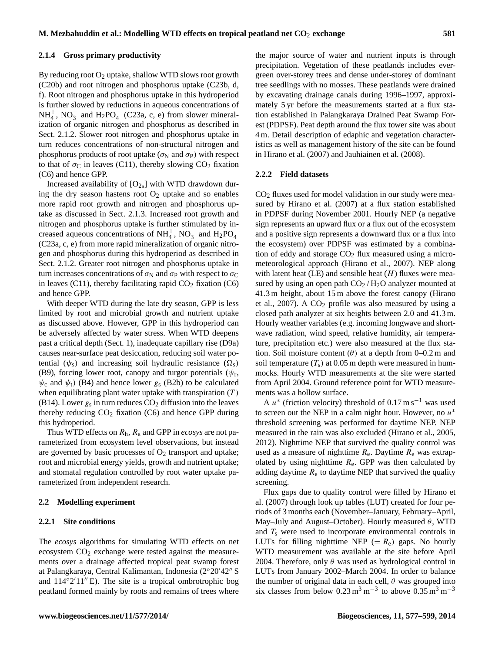#### **2.1.4 Gross primary productivity**

By reducing root  $O_2$  uptake, shallow WTD slows root growth (C20b) and root nitrogen and phosphorus uptake (C23b, d, f). Root nitrogen and phosphorus uptake in this hydroperiod is further slowed by reductions in aqueous concentrations of  $NH_4^+$ ,  $NO_3^-$  and  $H_2PO_4^-$  (C23a, c, e) from slower mineralization of organic nitrogen and phosphorus as described in Sect. 2.1.2. Slower root nitrogen and phosphorus uptake in turn reduces concentrations of non-structural nitrogen and phosphorus products of root uptake ( $\sigma_N$  and  $\sigma_P$ ) with respect to that of  $\sigma_{\rm C}$  in leaves (C11), thereby slowing CO<sub>2</sub> fixation (C6) and hence GPP.

Increased availability of  $[O_{2s}]$  with WTD drawdown during the dry season hastens root  $O_2$  uptake and so enables more rapid root growth and nitrogen and phosphorus uptake as discussed in Sect. 2.1.3. Increased root growth and nitrogen and phosphorus uptake is further stimulated by increased aqueous concentrations of NH<sup>+</sup><sub>4</sub>, NO<sub>3</sub> and H<sub>2</sub>PO<sub>4</sub> (C23a, c, e) from more rapid mineralization of organic nitrogen and phosphorus during this hydroperiod as described in Sect. 2.1.2. Greater root nitrogen and phosphorus uptake in turn increases concentrations of  $\sigma_N$  and  $\sigma_P$  with respect to  $\sigma_C$ in leaves (C11), thereby facilitating rapid  $CO<sub>2</sub>$  fixation (C6) and hence GPP.

With deeper WTD during the late dry season, GPP is less limited by root and microbial growth and nutrient uptake as discussed above. However, GPP in this hydroperiod can be adversely affected by water stress. When WTD deepens past a critical depth (Sect. 1), inadequate capillary rise (D9a) causes near-surface peat desiccation, reducing soil water potential  $(\psi_s)$  and increasing soil hydraulic resistance  $(\Omega_s)$ (B9), forcing lower root, canopy and turgor potentials ( $\psi_r$ ,  $\psi_c$  and  $\psi_t$ ) (B4) and hence lower g<sub>s</sub> (B2b) to be calculated when equilibrating plant water uptake with transpiration  $(T)$ (B14). Lower  $g_s$  in turn reduces  $CO_2$  diffusion into the leaves thereby reducing  $CO<sub>2</sub>$  fixation (C6) and hence GPP during this hydroperiod.

Thus WTD effects on Rh, R<sup>a</sup> and GPP in *ecosys* are not parameterized from ecosystem level observations, but instead are governed by basic processes of  $O<sub>2</sub>$  transport and uptake; root and microbial energy yields, growth and nutrient uptake; and stomatal regulation controlled by root water uptake parameterized from independent research.

## **2.2 Modelling experiment**

## **2.2.1 Site conditions**

The *ecosys* algorithms for simulating WTD effects on net ecosystem  $CO<sub>2</sub>$  exchange were tested against the measurements over a drainage affected tropical peat swamp forest at Palangkaraya, Central Kalimantan, Indonesia (2°20′42″ S and  $114°2'11''$  E). The site is a tropical ombrotrophic bog peatland formed mainly by roots and remains of trees where the major source of water and nutrient inputs is through precipitation. Vegetation of these peatlands includes evergreen over-storey trees and dense under-storey of dominant tree seedlings with no mosses. These peatlands were drained by excavating drainage canals during 1996–1997, approximately 5 yr before the measurements started at a flux station established in Palangkaraya Drained Peat Swamp Forest (PDPSF). Peat depth around the flux tower site was about 4 m. Detail description of edaphic and vegetation characteristics as well as management history of the site can be found in Hirano et al. (2007) and Jauhiainen et al. (2008).

## **2.2.2 Field datasets**

 $CO<sub>2</sub>$  fluxes used for model validation in our study were measured by Hirano et al. (2007) at a flux station established in PDPSF during November 2001. Hourly NEP (a negative sign represents an upward flux or a flux out of the ecosystem and a positive sign represents a downward flux or a flux into the ecosystem) over PDPSF was estimated by a combination of eddy and storage  $CO<sub>2</sub>$  flux measured using a micrometeorological approach (Hirano et al., 2007). NEP along with latent heat (LE) and sensible heat  $(H)$  fluxes were measured by using an open path  $CO<sub>2</sub>/H<sub>2</sub>O$  analyzer mounted at 41.3 m height, about 15 m above the forest canopy (Hirano et al., 2007). A  $CO<sub>2</sub>$  profile was also measured by using a closed path analyzer at six heights between 2.0 and 41.3 m. Hourly weather variables (e.g. incoming longwave and shortwave radiation, wind speed, relative humidity, air temperature, precipitation etc.) were also measured at the flux station. Soil moisture content  $(\theta)$  at a depth from 0–0.2 m and soil temperature  $(T_s)$  at 0.05 m depth were measured in hummocks. Hourly WTD measurements at the site were started from April 2004. Ground reference point for WTD measurements was a hollow surface.

A  $u^*$  (friction velocity) threshold of 0.17 m s<sup>-1</sup> was used to screen out the NEP in a calm night hour. However, no  $u^*$ threshold screening was performed for daytime NEP. NEP measured in the rain was also excluded (Hirano et al., 2005, 2012). Nighttime NEP that survived the quality control was used as a measure of nighttime  $R_e$ . Daytime  $R_e$  was extrapolated by using nighttime  $R_e$ . GPP was then calculated by adding daytime  $R_{e}$  to daytime NEP that survived the quality screening.

Flux gaps due to quality control were filled by Hirano et al. (2007) through look up tables (LUT) created for four periods of 3 months each (November–January, February–April, May–July and August–October). Hourly measured  $\theta$ , WTD and  $T<sub>s</sub>$  were used to incorporate environmental controls in LUTs for filling nighttime NEP  $(= R_e)$  gaps. No hourly WTD measurement was available at the site before April 2004. Therefore, only  $\theta$  was used as hydrological control in LUTs from January 2002–March 2004. In order to balance the number of original data in each cell,  $\theta$  was grouped into six classes from below  $0.23 \text{ m}^3 \text{ m}^{-3}$  to above  $0.35 \text{ m}^3 \text{ m}^{-3}$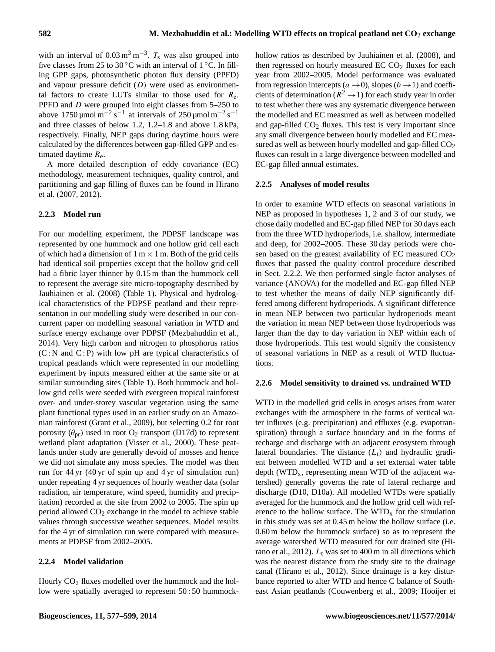with an interval of  $0.03 \text{ m}^3 \text{ m}^{-3}$ .  $T_s$  was also grouped into five classes from 25 to 30 °C with an interval of  $1\degree$ C. In filling GPP gaps, photosynthetic photon flux density (PPFD) and vapour pressure deficit  $(D)$  were used as environmental factors to create LUTs similar to those used for  $R_{e}$ . PPFD and D were grouped into eight classes from 5–250 to above 1750 µmol m<sup>-2</sup> s<sup>-1</sup> at intervals of 250 µmol m<sup>-2</sup> s<sup>-1</sup> and three classes of below 1.2, 1.2–1.8 and above 1.8 kPa, respectively. Finally, NEP gaps during daytime hours were calculated by the differences between gap-filled GPP and estimated daytime  $R_e$ .

A more detailed description of eddy covariance (EC) methodology, measurement techniques, quality control, and partitioning and gap filling of fluxes can be found in Hirano et al. (2007, 2012).

# **2.2.3 Model run**

For our modelling experiment, the PDPSF landscape was represented by one hummock and one hollow grid cell each of which had a dimension of  $1 \text{ m} \times 1 \text{ m}$ . Both of the grid cells had identical soil properties except that the hollow grid cell had a fibric layer thinner by 0.15 m than the hummock cell to represent the average site micro-topography described by Jauhiainen et al. (2008) (Table 1). Physical and hydrological characteristics of the PDPSF peatland and their representation in our modelling study were described in our concurrent paper on modelling seasonal variation in WTD and surface energy exchange over PDPSF (Mezbahuddin et al., 2014). Very high carbon and nitrogen to phosphorus ratios  $(C: N \text{ and } C: P)$  with low pH are typical characteristics of tropical peatlands which were represented in our modelling experiment by inputs measured either at the same site or at similar surrounding sites (Table 1). Both hummock and hollow grid cells were seeded with evergreen tropical rainforest over- and under-storey vascular vegetation using the same plant functional types used in an earlier study on an Amazonian rainforest (Grant et al., 2009), but selecting 0.2 for root porosity  $(\theta_{pr})$  used in root  $O_2$  transport (D17d) to represent wetland plant adaptation (Visser et al., 2000). These peatlands under study are generally devoid of mosses and hence we did not simulate any moss species. The model was then run for 44 yr (40 yr of spin up and 4 yr of simulation run) under repeating 4 yr sequences of hourly weather data (solar radiation, air temperature, wind speed, humidity and precipitation) recorded at the site from 2002 to 2005. The spin up period allowed  $CO<sub>2</sub>$  exchange in the model to achieve stable values through successive weather sequences. Model results for the 4 yr of simulation run were compared with measurements at PDPSF from 2002–2005.

## **2.2.4 Model validation**

Hourly  $CO<sub>2</sub>$  fluxes modelled over the hummock and the hollow were spatially averaged to represent 50 : 50 hummockhollow ratios as described by Jauhiainen et al. (2008), and then regressed on hourly measured  $EC CO<sub>2</sub>$  fluxes for each year from 2002–2005. Model performance was evaluated from regression intercepts ( $a \rightarrow 0$ ), slopes ( $b \rightarrow 1$ ) and coefficients of determination ( $R^2 \rightarrow 1$ ) for each study year in order to test whether there was any systematic divergence between the modelled and EC measured as well as between modelled and gap-filled  $CO<sub>2</sub>$  fluxes. This test is very important since any small divergence between hourly modelled and EC measured as well as between hourly modelled and gap-filled CO<sub>2</sub> fluxes can result in a large divergence between modelled and EC-gap filled annual estimates.

## **2.2.5 Analyses of model results**

In order to examine WTD effects on seasonal variations in NEP as proposed in hypotheses 1, 2 and 3 of our study, we chose daily modelled and EC-gap filled NEP for 30 days each from the three WTD hydroperiods, i.e. shallow, intermediate and deep, for 2002–2005. These 30 day periods were chosen based on the greatest availability of EC measured  $CO<sub>2</sub>$ fluxes that passed the quality control procedure described in Sect. 2.2.2. We then performed single factor analyses of variance (ANOVA) for the modelled and EC-gap filled NEP to test whether the means of daily NEP significantly differed among different hydroperiods. A significant difference in mean NEP between two particular hydroperiods meant the variation in mean NEP between those hydroperiods was larger than the day to day variation in NEP within each of those hydroperiods. This test would signify the consistency of seasonal variations in NEP as a result of WTD fluctuations.

## **2.2.6 Model sensitivity to drained vs. undrained WTD**

WTD in the modelled grid cells in *ecosys* arises from water exchanges with the atmosphere in the forms of vertical water influxes (e.g. precipitation) and effluxes (e.g. evapotranspiration) through a surface boundary and in the forms of recharge and discharge with an adjacent ecosystem through lateral boundaries. The distance  $(L_t)$  and hydraulic gradient between modelled WTD and a set external water table depth (WTDx, representing mean WTD of the adjacent watershed) generally governs the rate of lateral recharge and discharge (D10, D10a). All modelled WTDs were spatially averaged for the hummock and the hollow grid cell with reference to the hollow surface. The  $WTD_x$  for the simulation in this study was set at 0.45 m below the hollow surface (i.e. 0.60 m below the hummock surface) so as to represent the average watershed WTD measured for our drained site (Hirano et al., 2012).  $L_t$  was set to 400 m in all directions which was the nearest distance from the study site to the drainage canal (Hirano et al., 2012). Since drainage is a key disturbance reported to alter WTD and hence C balance of Southeast Asian peatlands (Couwenberg et al., 2009; Hooijer et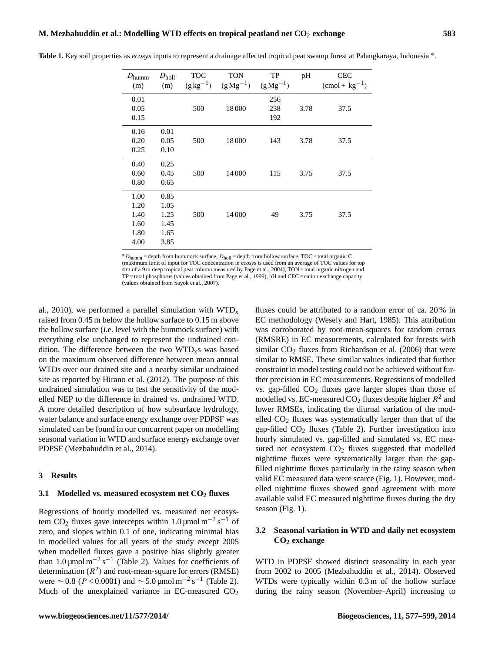| $D_{\text{human}}$<br>(m) | $D_{\text{holl}}$<br>(m) | <b>TOC</b><br>$(g \, kg^{-1})$ | <b>TON</b><br>$(g\text{Mg}^{-1})$ $(g\text{Mg}^{-1})$ | TP  | pH   | <b>CEC</b><br>$\text{(cmol+kg}^{-1})$ |
|---------------------------|--------------------------|--------------------------------|-------------------------------------------------------|-----|------|---------------------------------------|
| 0.01                      |                          |                                |                                                       | 256 |      |                                       |
| 0.05                      |                          | 500                            | 18000                                                 | 238 | 3.78 | 37.5                                  |
| 0.15                      |                          |                                |                                                       | 192 |      |                                       |
| 0.16                      | 0.01                     |                                |                                                       |     |      |                                       |
| 0.20                      | 0.05                     | 500                            | 18000                                                 | 143 | 3.78 | 37.5                                  |
| 0.25                      | 0.10                     |                                |                                                       |     |      |                                       |
| 0.40                      | 0.25                     |                                |                                                       |     |      |                                       |
| 0.60                      | 0.45                     | 500                            | 14 000                                                | 115 | 3.75 | 37.5                                  |
| 0.80                      | 0.65                     |                                |                                                       |     |      |                                       |
| 1.00                      | 0.85                     |                                |                                                       |     |      |                                       |
| 1.20                      | 1.05                     |                                |                                                       |     |      |                                       |
| 1.40                      | 1.25                     | 500                            | 14 000                                                | 49  | 3.75 | 37.5                                  |
| 1.60                      | 1.45                     |                                |                                                       |     |      |                                       |
| 1.80                      | 1.65                     |                                |                                                       |     |      |                                       |
| 4.00                      | 3.85                     |                                |                                                       |     |      |                                       |

Table 1. Key soil properties as *ecosys* inputs to represent a drainage affected tropical peat swamp forest at Palangkaraya, Indonesia \*.

 $*D_{\text{human}} =$  depth from hummock surface,  $D_{\text{holl}} =$  depth from hollow surface, TOC = total organic C (maximum limit of input for TOC concentration in *ecosys* is used from an average of TOC values for top 4 m of a 9 m deep tropical peat column measured by Page et al., 2004), TON = total organic nitrogen and TP = total phosphorus (values obtained from Page et al., 1999), pH and CEC = cation exchange capacity (values obtained from Sayok et al., 2007).

al., 2010), we performed a parallel simulation with  $WTD<sub>x</sub>$ raised from 0.45 m below the hollow surface to 0.15 m above the hollow surface (i.e. level with the hummock surface) with everything else unchanged to represent the undrained condition. The difference between the two  $WTD_xs$  was based on the maximum observed difference between mean annual WTDs over our drained site and a nearby similar undrained site as reported by Hirano et al. (2012). The purpose of this undrained simulation was to test the sensitivity of the modelled NEP to the difference in drained vs. undrained WTD. A more detailed description of how subsurface hydrology, water balance and surface energy exchange over PDPSF was simulated can be found in our concurrent paper on modelling seasonal variation in WTD and surface energy exchange over PDPSF (Mezbahuddin et al., 2014).

#### **3 Results**

## **3.1 Modelled vs. measured ecosystem net CO<sup>2</sup> fluxes**

Regressions of hourly modelled vs. measured net ecosystem CO<sub>2</sub> fluxes gave intercepts within 1.0 μmol m<sup>-2</sup> s<sup>-1</sup> of zero, and slopes within 0.1 of one, indicating minimal bias in modelled values for all years of the study except 2005 when modelled fluxes gave a positive bias slightly greater than 1.0 µmol m<sup>-2</sup> s<sup>-1</sup> (Table 2). Values for coefficients of determination ( $R^2$ ) and root-mean-square for errors (RMSE) were  $\sim$  0.8 (P < 0.0001) and  $\sim$  5.0 µmol m<sup>-2</sup> s<sup>-1</sup> (Table 2). Much of the unexplained variance in EC-measured  $CO<sub>2</sub>$ 

fluxes could be attributed to a random error of ca. 20 % in EC methodology (Wesely and Hart, 1985). This attribution was corroborated by root-mean-squares for random errors (RMSRE) in EC measurements, calculated for forests with similar  $CO<sub>2</sub>$  fluxes from Richardson et al. (2006) that were similar to RMSE. These similar values indicated that further constraint in model testing could not be achieved without further precision in EC measurements. Regressions of modelled vs. gap-filled  $CO<sub>2</sub>$  fluxes gave larger slopes than those of modelled vs. EC-measured CO<sub>2</sub> fluxes despite higher  $R^2$  and lower RMSEs, indicating the diurnal variation of the modelled  $CO<sub>2</sub>$  fluxes was systematically larger than that of the gap-filled  $CO<sub>2</sub>$  fluxes (Table 2). Further investigation into hourly simulated vs. gap-filled and simulated vs. EC measured net ecosystem  $CO<sub>2</sub>$  fluxes suggested that modelled nighttime fluxes were systematically larger than the gapfilled nighttime fluxes particularly in the rainy season when valid EC measured data were scarce (Fig. 1). However, modelled nighttime fluxes showed good agreement with more available valid EC measured nighttime fluxes during the dry season (Fig. 1).

# **3.2 Seasonal variation in WTD and daily net ecosystem CO<sup>2</sup> exchange**

WTD in PDPSF showed distinct seasonality in each year from 2002 to 2005 (Mezbahuddin et al., 2014). Observed WTDs were typically within 0.3 m of the hollow surface during the rainy season (November–April) increasing to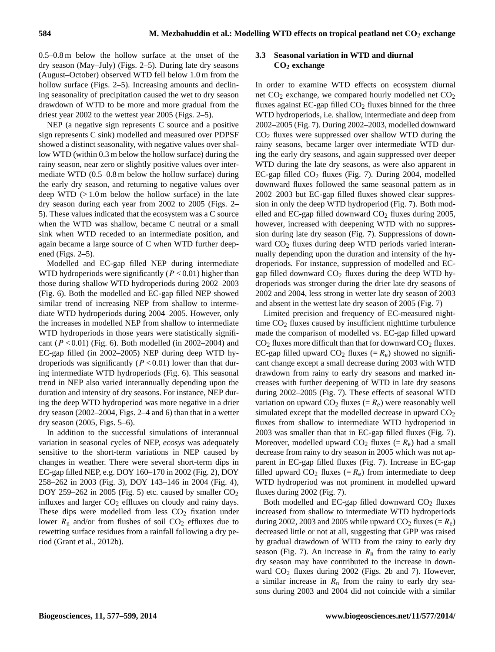0.5–0.8 m below the hollow surface at the onset of the dry season (May–July) (Figs. 2–5). During late dry seasons (August–October) observed WTD fell below 1.0 m from the hollow surface (Figs. 2–5). Increasing amounts and declining seasonality of precipitation caused the wet to dry season drawdown of WTD to be more and more gradual from the driest year 2002 to the wettest year 2005 (Figs. 2–5).

NEP (a negative sign represents C source and a positive sign represents C sink) modelled and measured over PDPSF showed a distinct seasonality, with negative values over shallow WTD (within 0.3 m below the hollow surface) during the rainy season, near zero or slightly positive values over intermediate WTD (0.5–0.8 m below the hollow surface) during the early dry season, and returning to negative values over deep WTD  $(>1.0 \text{ m}$  below the hollow surface) in the late dry season during each year from 2002 to 2005 (Figs. 2– 5). These values indicated that the ecosystem was a C source when the WTD was shallow, became C neutral or a small sink when WTD receded to an intermediate position, and again became a large source of C when WTD further deepened (Figs. 2–5).

Modelled and EC-gap filled NEP during intermediate WTD hydroperiods were significantly ( $P < 0.01$ ) higher than those during shallow WTD hydroperiods during 2002–2003 (Fig. 6). Both the modelled and EC-gap filled NEP showed similar trend of increasing NEP from shallow to intermediate WTD hydroperiods during 2004–2005. However, only the increases in modelled NEP from shallow to intermediate WTD hydroperiods in those years were statistically significant ( $P < 0.01$ ) (Fig. 6). Both modelled (in 2002–2004) and EC-gap filled (in 2002–2005) NEP during deep WTD hydroperiods was significantly ( $P < 0.01$ ) lower than that during intermediate WTD hydroperiods (Fig. 6). This seasonal trend in NEP also varied interannually depending upon the duration and intensity of dry seasons. For instance, NEP during the deep WTD hydroperiod was more negative in a drier dry season (2002–2004, Figs. 2–4 and 6) than that in a wetter dry season (2005, Figs. 5–6).

In addition to the successful simulations of interannual variation in seasonal cycles of NEP, *ecosys* was adequately sensitive to the short-term variations in NEP caused by changes in weather. There were several short-term dips in EC-gap filled NEP, e.g. DOY 160–170 in 2002 (Fig. 2), DOY 258–262 in 2003 (Fig. 3), DOY 143–146 in 2004 (Fig. 4), DOY 259–262 in 2005 (Fig. 5) etc. caused by smaller  $CO<sub>2</sub>$ influxes and larger  $CO<sub>2</sub>$  effluxes on cloudy and rainy days. These dips were modelled from less  $CO<sub>2</sub>$  fixation under lower  $R_n$  and/or from flushes of soil  $CO_2$  effluxes due to rewetting surface residues from a rainfall following a dry period (Grant et al., 2012b).

# **3.3 Seasonal variation in WTD and diurnal CO<sup>2</sup> exchange**

In order to examine WTD effects on ecosystem diurnal net  $CO<sub>2</sub>$  exchange, we compared hourly modelled net  $CO<sub>2</sub>$ fluxes against  $EC$ -gap filled  $CO<sub>2</sub>$  fluxes binned for the three WTD hydroperiods, i.e. shallow, intermediate and deep from 2002–2005 (Fig. 7). During 2002–2003, modelled downward  $CO<sub>2</sub>$  fluxes were suppressed over shallow WTD during the rainy seasons, became larger over intermediate WTD during the early dry seasons, and again suppressed over deeper WTD during the late dry seasons, as were also apparent in EC-gap filled CO<sup>2</sup> fluxes (Fig. 7). During 2004, modelled downward fluxes followed the same seasonal pattern as in 2002–2003 but EC-gap filled fluxes showed clear suppression in only the deep WTD hydroperiod (Fig. 7). Both modelled and EC-gap filled downward  $CO<sub>2</sub>$  fluxes during 2005, however, increased with deepening WTD with no suppression during late dry season (Fig. 7). Suppressions of downward CO<sub>2</sub> fluxes during deep WTD periods varied interannually depending upon the duration and intensity of the hydroperiods. For instance, suppression of modelled and ECgap filled downward  $CO<sub>2</sub>$  fluxes during the deep WTD hydroperiods was stronger during the drier late dry seasons of 2002 and 2004, less strong in wetter late dry season of 2003 and absent in the wettest late dry season of 2005 (Fig. 7)

Limited precision and frequency of EC-measured nighttime  $CO<sub>2</sub>$  fluxes caused by insufficient nighttime turbulence made the comparison of modelled vs. EC-gap filled upward  $CO<sub>2</sub>$  fluxes more difficult than that for downward  $CO<sub>2</sub>$  fluxes. EC-gap filled upward CO<sub>2</sub> fluxes (=  $R_e$ ) showed no significant change except a small decrease during 2003 with WTD drawdown from rainy to early dry seasons and marked increases with further deepening of WTD in late dry seasons during 2002–2005 (Fig. 7). These effects of seasonal WTD variation on upward  $CO<sub>2</sub>$  fluxes (=  $R<sub>e</sub>$ ) were reasonably well simulated except that the modelled decrease in upward  $CO<sub>2</sub>$ fluxes from shallow to intermediate WTD hydroperiod in 2003 was smaller than that in EC-gap filled fluxes (Fig. 7). Moreover, modelled upward  $CO_2$  fluxes (=  $R_e$ ) had a small decrease from rainy to dry season in 2005 which was not apparent in EC-gap filled fluxes (Fig. 7). Increase in EC-gap filled upward  $CO_2$  fluxes (=  $R_e$ ) from intermediate to deep WTD hydroperiod was not prominent in modelled upward fluxes during 2002 (Fig. 7).

Both modelled and EC-gap filled downward  $CO<sub>2</sub>$  fluxes increased from shallow to intermediate WTD hydroperiods during 2002, 2003 and 2005 while upward  $CO_2$  fluxes (=  $R_e$ ) decreased little or not at all, suggesting that GPP was raised by gradual drawdown of WTD from the rainy to early dry season (Fig. 7). An increase in  $R_n$  from the rainy to early dry season may have contributed to the increase in downward  $CO<sub>2</sub>$  fluxes during 2002 (Figs. 2b and 7). However, a similar increase in  $R_n$  from the rainy to early dry seasons during 2003 and 2004 did not coincide with a similar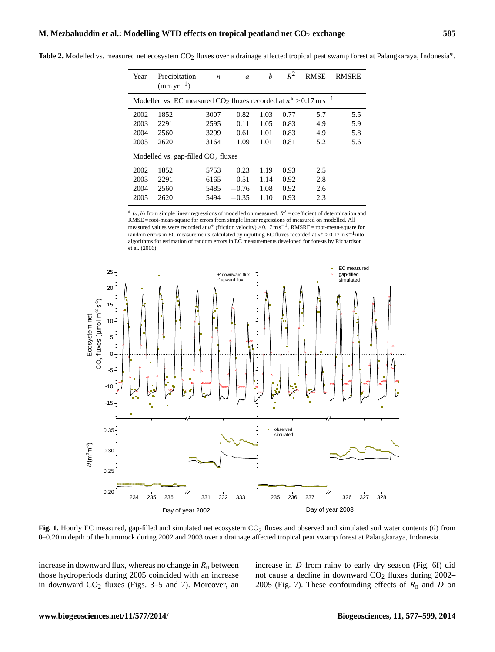Year Precipitation *n* a b  $R^2$  RMSE RMSRE  $\text{(mm yr}^{-1})$ Modelled vs. EC measured CO<sub>2</sub> fluxes recorded at  $u^* > 0.17$  m s<sup>-1</sup> 2002 1852 3007 0.82 1.03 0.77 5.7 5.5 2003 2291 2595 0.11 1.05 0.83 4.9 5.9 2004 2560 3299 0.61 1.01 0.83 4.9 5.8 2005 2620 3164 1.09 1.01 0.81 5.2 5.6 Modelled vs. gap-filled CO<sub>2</sub> fluxes 2002 1852 5753 0.23 1.19 0.93 2.5 2003 2291 6165 −0.51 1.14 0.92 2.8 2004 2560 5485 −0.76 1.08 0.92 2.6 2005 2620 5494 −0.35 1.10 0.93 2.3

Table 2. Modelled vs. measured net ecosystem CO<sub>2</sub> fluxes over a drainage affected tropical peat swamp forest at Palangkaraya, Indonesia<sup>\*</sup>.

\*  $(a, b)$  from simple linear regressions of modelled on measured.  $R^2$  = coefficient of determination and RMSE = root-mean-square for errors from simple linear regressions of measured on modelled. All measured values were recorded at  $u^*$  (friction velocity) > 0.17 m s<sup>-1</sup>. RMSRE = root-mean-square for random errors in EC measurements calculated by inputting EC fluxes recorded at  $u^* > 0.17$  m s<sup>-1</sup> into algorithms for estimation of random errors in EC measurements developed for forests by Richardson et al. (2006).



**Fig. 1.** Hourly EC measured, gap-filled and simulated net ecosystem  $CO_2$  fluxes and observed and simulated soil water contents ( $\theta$ ) from 0–0.20 m depth of the hummock during 2002 and 2003 over a drainage affected tropical peat swamp forest at Palangkaraya, Indonesia.

increase in downward flux, whereas no change in  $R_n$  between those hydroperiods during 2005 coincided with an increase in downward  $CO<sub>2</sub>$  fluxes (Figs. 3–5 and 7). Moreover, an increase in D from rainy to early dry season (Fig. 6f) did not cause a decline in downward  $CO<sub>2</sub>$  fluxes during 2002– 2005 (Fig. 7). These confounding effects of  $R_n$  and D on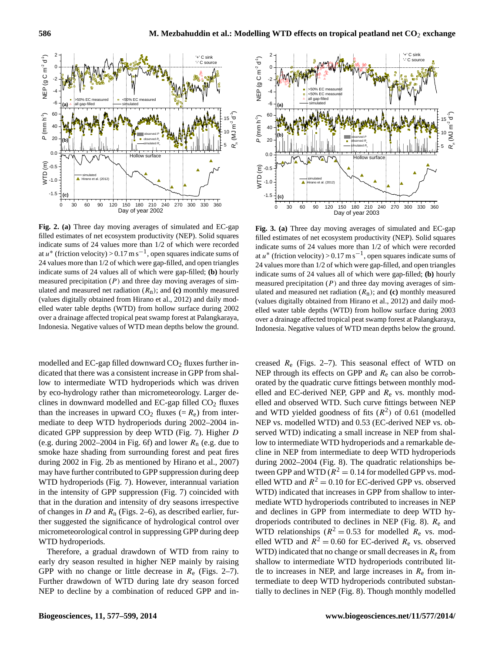

**Fig. 2. (a)** Three day moving averages of simulated and EC-gap filled estimates of net ecosystem productivity (NEP). Solid squares indicate sums of 24 values more than 1/2 of which were recorded at  $u^*$  (friction velocity) > 0.17 m s<sup>-1</sup>, open squares indicate sums of 24 values more than 1/2 of which were gap-filled, and open triangles indicate sums of 24 values all of which were gap-filled; **(b)** hourly measured precipitation  $(P)$  and three day moving averages of simulated and measured net radiation  $(R_n)$ ; and  $(c)$  monthly measured (values digitally obtained from Hirano et al., 2012) and daily modelled water table depths (WTD) from hollow surface during 2002 over a drainage affected tropical peat swamp forest at Palangkaraya, Indonesia. Negative values of WTD mean depths below the ground.

modelled and EC-gap filled downward  $CO<sub>2</sub>$  fluxes further indicated that there was a consistent increase in GPP from shallow to intermediate WTD hydroperiods which was driven by eco-hydrology rather than micrometeorology. Larger declines in downward modelled and EC-gap filled  $CO<sub>2</sub>$  fluxes than the increases in upward  $CO<sub>2</sub>$  fluxes (=  $R<sub>e</sub>$ ) from intermediate to deep WTD hydroperiods during 2002–2004 indicated GPP suppression by deep WTD (Fig. 7). Higher D (e.g. during 2002–2004 in Fig. 6f) and lower  $R_n$  (e.g. due to smoke haze shading from surrounding forest and peat fires during 2002 in Fig. 2b as mentioned by Hirano et al., 2007) may have further contributed to GPP suppression during deep WTD hydroperiods (Fig. 7). However, interannual variation in the intensity of GPP suppression (Fig. 7) coincided with that in the duration and intensity of dry seasons irrespective of changes in D and  $R_n$  (Figs. 2–6), as described earlier, further suggested the significance of hydrological control over micrometeorological control in suppressing GPP during deep WTD hydroperiods.

Therefore, a gradual drawdown of WTD from rainy to early dry season resulted in higher NEP mainly by raising GPP with no change or little decrease in  $R_e$  (Figs. 2–7). Further drawdown of WTD during late dry season forced NEP to decline by a combination of reduced GPP and in-



**Fig. 3. (a)** Three day moving averages of simulated and EC-gap filled estimates of net ecosystem productivity (NEP). Solid squares indicate sums of 24 values more than 1/2 of which were recorded at  $u^*$  (friction velocity) > 0.17 m s<sup>-1</sup>, open squares indicate sums of 24 values more than 1/2 of which were gap-filled, and open triangles indicate sums of 24 values all of which were gap-filled; **(b)** hourly measured precipitation  $(P)$  and three day moving averages of simulated and measured net radiation  $(R_n)$ ; and  $(c)$  monthly measured (values digitally obtained from Hirano et al., 2012) and daily modelled water table depths (WTD) from hollow surface during 2003 over a drainage affected tropical peat swamp forest at Palangkaraya, Indonesia. Negative values of WTD mean depths below the ground.

creased  $R_e$  (Figs. 2–7). This seasonal effect of WTD on NEP through its effects on GPP and  $R_e$  can also be corroborated by the quadratic curve fittings between monthly modelled and EC-derived NEP, GPP and  $R_e$  vs. monthly modelled and observed WTD. Such curve fittings between NEP and WTD yielded goodness of fits  $(R^2)$  of 0.61 (modelled NEP vs. modelled WTD) and 0.53 (EC-derived NEP vs. observed WTD) indicating a small increase in NEP from shallow to intermediate WTD hydroperiods and a remarkable decline in NEP from intermediate to deep WTD hydroperiods during 2002–2004 (Fig. 8). The quadratic relationships between GPP and WTD ( $R^2 = 0.14$  for modelled GPP vs. modelled WTD and  $R^2 = 0.10$  for EC-derived GPP vs. observed WTD) indicated that increases in GPP from shallow to intermediate WTD hydroperiods contributed to increases in NEP and declines in GPP from intermediate to deep WTD hydroperiods contributed to declines in NEP (Fig. 8).  $R_e$  and WTD relationships ( $R^2 = 0.53$  for modelled  $R_e$  vs. modelled WTD and  $R^2 = 0.60$  for EC-derived  $R_e$  vs. observed WTD) indicated that no change or small decreases in  $R<sub>e</sub>$  from shallow to intermediate WTD hydroperiods contributed little to increases in NEP, and large increases in  $R<sub>e</sub>$  from intermediate to deep WTD hydroperiods contributed substantially to declines in NEP (Fig. 8). Though monthly modelled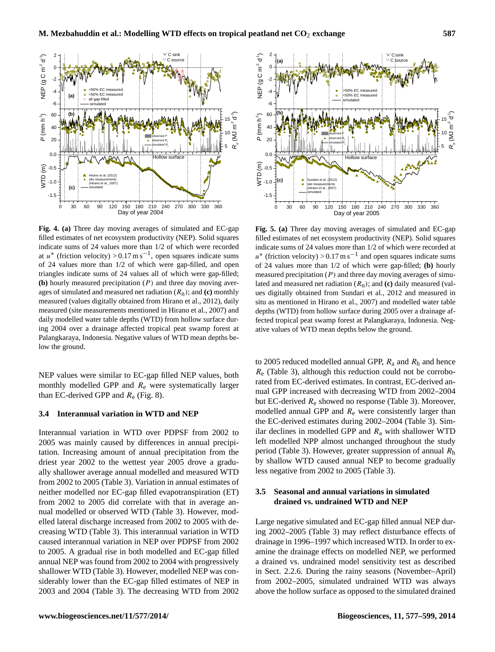

**Fig. 4. (a)** Three day moving averages of simulated and EC-gap filled estimates of net ecosystem productivity (NEP). Solid squares indicate sums of 24 values more than 1/2 of which were recorded at  $u^*$  (friction velocity) > 0.17 m s<sup>-1</sup>, open squares indicate sums of 24 values more than 1/2 of which were gap-filled, and open triangles indicate sums of 24 values all of which were gap-filled; **(b)** hourly measured precipitation  $(P)$  and three day moving averages of simulated and measured net radiation  $(R_n)$ ; and  $(c)$  monthly measured (values digitally obtained from Hirano et al., 2012), daily measured (site measurements mentioned in Hirano et al., 2007) and daily modelled water table depths (WTD) from hollow surface during 2004 over a drainage affected tropical peat swamp forest at Palangkaraya, Indonesia. Negative values of WTD mean depths below the ground.

NEP values were similar to EC-gap filled NEP values, both monthly modelled GPP and  $R_e$  were systematically larger than EC-derived GPP and  $R_e$  (Fig. 8).

## **3.4 Interannual variation in WTD and NEP**

Interannual variation in WTD over PDPSF from 2002 to 2005 was mainly caused by differences in annual precipitation. Increasing amount of annual precipitation from the driest year 2002 to the wettest year 2005 drove a gradually shallower average annual modelled and measured WTD from 2002 to 2005 (Table 3). Variation in annual estimates of neither modelled nor EC-gap filled evapotranspiration (ET) from 2002 to 2005 did correlate with that in average annual modelled or observed WTD (Table 3). However, modelled lateral discharge increased from 2002 to 2005 with decreasing WTD (Table 3). This interannual variation in WTD caused interannual variation in NEP over PDPSF from 2002 to 2005. A gradual rise in both modelled and EC-gap filled annual NEP was found from 2002 to 2004 with progressively shallower WTD (Table 3). However, modelled NEP was considerably lower than the EC-gap filled estimates of NEP in 2003 and 2004 (Table 3). The decreasing WTD from 2002



**Fig. 5. (a)** Three day moving averages of simulated and EC-gap filled estimates of net ecosystem productivity (NEP). Solid squares indicate sums of 24 values more than 1/2 of which were recorded at  $u^*$  (friction velocity) > 0.17 m s<sup>-1</sup> and open squares indicate sums of 24 values more than 1/2 of which were gap-filled; **(b)** hourly measured precipitation  $(P)$  and three day moving averages of simulated and measured net radiation  $(R_n)$ ; and  $(c)$  daily measured (values digitally obtained from Sundari et al., 2012 and measured in situ as mentioned in Hirano et al., 2007) and modelled water table depths (WTD) from hollow surface during 2005 over a drainage affected tropical peat swamp forest at Palangkaraya, Indonesia. Negative values of WTD mean depths below the ground.

to 2005 reduced modelled annual GPP,  $R_a$  and  $R_h$  and hence  $R_{\rm e}$  (Table 3), although this reduction could not be corroborated from EC-derived estimates. In contrast, EC-derived annual GPP increased with decreasing WTD from 2002–2004 but EC-derived  $R_e$  showed no response (Table 3). Moreover, modelled annual GPP and  $R_e$  were consistently larger than the EC-derived estimates during 2002–2004 (Table 3). Similar declines in modelled GPP and  $R_a$  with shallower WTD left modelled NPP almost unchanged throughout the study period (Table 3). However, greater suppression of annual  $R<sub>h</sub>$ by shallow WTD caused annual NEP to become gradually less negative from 2002 to 2005 (Table 3).

# **3.5 Seasonal and annual variations in simulated drained vs. undrained WTD and NEP**

Large negative simulated and EC-gap filled annual NEP during 2002–2005 (Table 3) may reflect disturbance effects of drainage in 1996–1997 which increased WTD. In order to examine the drainage effects on modelled NEP, we performed a drained vs. undrained model sensitivity test as described in Sect. 2.2.6. During the rainy seasons (November–April) from 2002–2005, simulated undrained WTD was always above the hollow surface as opposed to the simulated drained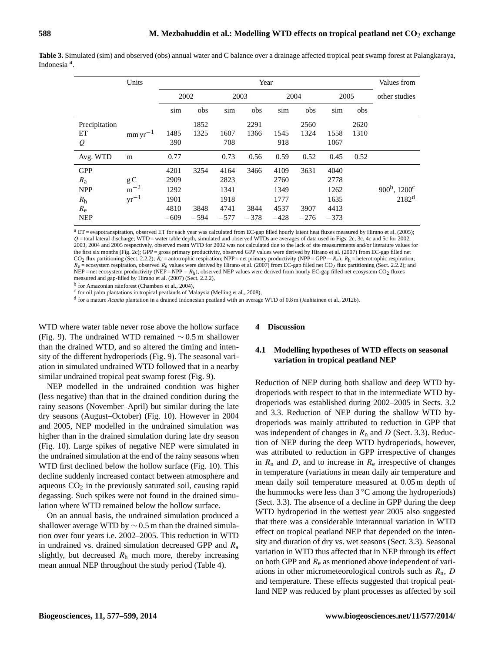|               | Units<br>Year       |        |        |        |        |        |        |        | Values from |                                |
|---------------|---------------------|--------|--------|--------|--------|--------|--------|--------|-------------|--------------------------------|
|               |                     | 2002   |        | 2003   |        | 2004   |        | 2005   |             | other studies                  |
|               |                     | sim    | obs    | sim    | obs    | sim    | obs    | sim    | obs         |                                |
| Precipitation |                     |        | 1852   |        | 2291   |        | 2560   |        | 2620        |                                |
| ET            | $\text{mm yr}^{-1}$ | 1485   | 1325   | 1607   | 1366   | 1545   | 1324   | 1558   | 1310        |                                |
| $\varrho$     |                     | 390    |        | 708    |        | 918    |        | 1067   |             |                                |
| Avg. WTD      | m                   | 0.77   |        | 0.73   | 0.56   | 0.59   | 0.52   | 0.45   | 0.52        |                                |
| <b>GPP</b>    |                     | 4201   | 3254   | 4164   | 3466   | 4109   | 3631   | 4040   |             |                                |
| $R_{\rm a}$   | gC                  | 2909   |        | 2823   |        | 2760   |        | 2778   |             |                                |
| <b>NPP</b>    | $m^{-2}$            | 1292   |        | 1341   |        | 1349   |        | 1262   |             | $900^{\rm b}$ , $1200^{\rm c}$ |
| $R_{\rm h}$   | $yr^{-1}$           | 1901   |        | 1918   |        | 1777   |        | 1635   |             | 2182 <sup>d</sup>              |
| $R_{\rm e}$   |                     | 4810   | 3848   | 4741   | 3844   | 4537   | 3907   | 4413   |             |                                |
| <b>NEP</b>    |                     | $-609$ | $-594$ | $-577$ | $-378$ | $-428$ | $-276$ | $-373$ |             |                                |

**Table 3.** Simulated (sim) and observed (obs) annual water and C balance over a drainage affected tropical peat swamp forest at Palangkaraya, Indonesia<sup>a</sup>.

a ET = evapotranspiration, observed ET for each year was calculated from EC-gap filled hourly latent heat fluxes measured by Hirano et al. (2005);  $Q =$  total lateral discharge; WTD = water table depth, simulated and observed WTDs are averages of data used in Figs. 2c, 3c, 4c and 5c for 2002, 2003, 2004 and 2005 respectively, observed mean WTD for 2002 was not calculated due to the lack of site measurements and/or literature values for the first six months (Fig. 2c); GPP = gross primary productivity, observed GPP values were derived by Hirano et al. (2007) from EC-gap filled net CO<sub>2</sub> flux partitioning (Sect. 2.2.2);  $R_a$  = autotrophic respiration; NPP = net primary productivity (NPP = GPP – Ra);  $R_b$  = heterotrophic respiration;  $R_e$  = ecosystem respiration, observed  $R_e$  values were derived by Hirano et al. (2007) from EC-gap filled net CO<sub>2</sub> flux partitioning (Sect. 2.2.2); and NEP = net ecosystem productivity (NEP = NPP − R<sub>h</sub>), observed NEP values were derived from hourly EC-gap filled net ecosystem CO<sub>2</sub> fluxes measured and gap-filled by Hirano et al. (2007) (Sect. 2.2.2),

b for Amazonian rainforest (Chambers et al., 2004),

<sup>c</sup> for oil palm plantations in tropical peatlands of Malaysia (Melling et al., 2008),

d for a mature *Acacia* plantation in a drained Indonesian peatland with an average WTD of 0.8 m (Jauhiainen et al., 2012b).

WTD where water table never rose above the hollow surface (Fig. 9). The undrained WTD remained ∼ 0.5 m shallower than the drained WTD, and so altered the timing and intensity of the different hydroperiods (Fig. 9). The seasonal variation in simulated undrained WTD followed that in a nearby similar undrained tropical peat swamp forest (Fig. 9).

NEP modelled in the undrained condition was higher (less negative) than that in the drained condition during the rainy seasons (November–April) but similar during the late dry seasons (August–October) (Fig. 10). However in 2004 and 2005, NEP modelled in the undrained simulation was higher than in the drained simulation during late dry season (Fig. 10). Large spikes of negative NEP were simulated in the undrained simulation at the end of the rainy seasons when WTD first declined below the hollow surface (Fig. 10). This decline suddenly increased contact between atmosphere and aqueous  $CO<sub>2</sub>$  in the previously saturated soil, causing rapid degassing. Such spikes were not found in the drained simulation where WTD remained below the hollow surface.

On an annual basis, the undrained simulation produced a shallower average WTD by  $\sim$  0.5 m than the drained simulation over four years i.e. 2002–2005. This reduction in WTD in undrained vs. drained simulation decreased GPP and  $R_a$ slightly, but decreased  $R<sub>h</sub>$  much more, thereby increasing mean annual NEP throughout the study period (Table 4).

#### **4 Discussion**

# **4.1 Modelling hypotheses of WTD effects on seasonal variation in tropical peatland NEP**

Reduction of NEP during both shallow and deep WTD hydroperiods with respect to that in the intermediate WTD hydroperiods was established during 2002–2005 in Sects. 3.2 and 3.3. Reduction of NEP during the shallow WTD hydroperiods was mainly attributed to reduction in GPP that was independent of changes in  $R_n$  and D (Sect. 3.3). Reduction of NEP during the deep WTD hydroperiods, however, was attributed to reduction in GPP irrespective of changes in  $R_n$  and D, and to increase in  $R_e$  irrespective of changes in temperature (variations in mean daily air temperature and mean daily soil temperature measured at 0.05 m depth of the hummocks were less than  $3^{\circ}$ C among the hydroperiods) (Sect. 3.3). The absence of a decline in GPP during the deep WTD hydroperiod in the wettest year 2005 also suggested that there was a considerable interannual variation in WTD effect on tropical peatland NEP that depended on the intensity and duration of dry vs. wet seasons (Sect. 3.3). Seasonal variation in WTD thus affected that in NEP through its effect on both GPP and  $R_e$  as mentioned above independent of variations in other micrometeorological controls such as  $R_n$ , D and temperature. These effects suggested that tropical peatland NEP was reduced by plant processes as affected by soil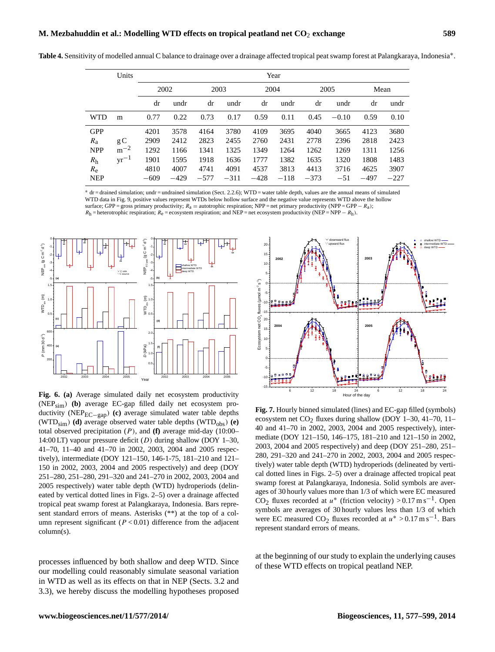|                | Units          | Year   |        |        |        |        |        |        |         |        |        |
|----------------|----------------|--------|--------|--------|--------|--------|--------|--------|---------|--------|--------|
|                |                | 2002   |        | 2003   |        | 2004   |        | 2005   |         | Mean   |        |
|                |                | dr     | undr   | dr     | undr   | dr     | undr   | dr     | undr    | dr     | undr   |
| <b>WTD</b>     | m              | 0.77   | 0.22   | 0.73   | 0.17   | 0.59   | 0.11   | 0.45   | $-0.10$ | 0.59   | 0.10   |
| <b>GPP</b>     |                | 4201   | 3578   | 4164   | 3780   | 4109   | 3695   | 4040   | 3665    | 4123   | 3680   |
| $R_{a}$        | gC             | 2909   | 2412   | 2823   | 2455   | 2760   | 2431   | 2778   | 2396    | 2818   | 2423   |
| <b>NPP</b>     | $m^{-2}$       | 1292   | 1166   | 1341   | 1325   | 1349   | 1264   | 1262   | 1269    | 1311   | 1256   |
| R <sub>h</sub> | $\rm{yr}^{-1}$ | 1901   | 1595   | 1918   | 1636   | 1777   | 1382   | 1635   | 1320    | 1808   | 1483   |
| $R_{\rm e}$    |                | 4810   | 4007   | 4741   | 4091   | 4537   | 3813   | 4413   | 3716    | 4625   | 3907   |
| <b>NEP</b>     |                | $-609$ | $-429$ | $-577$ | $-311$ | $-428$ | $-118$ | $-373$ | $-51$   | $-497$ | $-227$ |

<sup>∗</sup> dr = drained simulation; undr = undrained simulation (Sect. 2.2.6); WTD = water table depth, values are the annual means of simulated WTD data in Fig. 9, positive values represent WTDs below hollow surface and the negative value represents WTD above the hollow surface; GPP = gross primary productivity;  $R_a$  = autotrophic respiration; NPP = net primary productivity (NPP = GPP –  $R_a$ );  $R_h$  = heterotrophic respiration;  $R_e$  = ecosystem respiration; and NEP = net ecosystem productivity (NEP = NPP –  $R_h$ ).



**Fig. 6. (a)** Average simulated daily net ecosystem productivity (NEPsim) **(b)** average EC-gap filled daily net ecosystem productivity (NEPEC−gap) **(c)** average simulated water table depths (WTDsim) **(d)** average observed water table depths (WTDobs) **(e)** total observed precipitation  $(P)$ , and  $(f)$  average mid-day  $(10:00-$ 14:00 LT) vapour pressure deficit  $(D)$  during shallow (DOY 1–30, 41–70, 11–40 and 41–70 in 2002, 2003, 2004 and 2005 respectively), intermediate (DOY 121–150, 146-1-75, 181–210 and 121– 150 in 2002, 2003, 2004 and 2005 respectively) and deep (DOY 251–280, 251–280, 291–320 and 241–270 in 2002, 2003, 2004 and 2005 respectively) water table depth (WTD) hydroperiods (delineated by vertical dotted lines in Figs. 2–5) over a drainage affected tropical peat swamp forest at Palangkaraya, Indonesia. Bars represent standard errors of means. Asterisks (\*\*) at the top of a column represent significant ( $P < 0.01$ ) difference from the adjacent column(s).

processes influenced by both shallow and deep WTD. Since our modelling could reasonably simulate seasonal variation in WTD as well as its effects on that in NEP (Sects. 3.2 and 3.3), we hereby discuss the modelling hypotheses proposed



**Fig. 7.** Hourly binned simulated (lines) and EC-gap filled (symbols) ecosystem net  $CO<sub>2</sub>$  fluxes during shallow (DOY 1–30, 41–70, 11– 40 and 41–70 in 2002, 2003, 2004 and 2005 respectively), intermediate (DOY 121–150, 146–175, 181–210 and 121–150 in 2002, 2003, 2004 and 2005 respectively) and deep (DOY 251–280, 251– 280, 291–320 and 241–270 in 2002, 2003, 2004 and 2005 respectively) water table depth (WTD) hydroperiods (delineated by vertical dotted lines in Figs. 2–5) over a drainage affected tropical peat swamp forest at Palangkaraya, Indonesia. Solid symbols are averages of 30 hourly values more than 1/3 of which were EC measured CO<sub>2</sub> fluxes recorded at  $u^*$  (friction velocity) > 0.17 m s<sup>-1</sup>. Open symbols are averages of 30 hourly values less than 1/3 of which were EC measured CO<sub>2</sub> fluxes recorded at  $u^* > 0.17 \text{ m s}^{-1}$ . Bars represent standard errors of means.

at the beginning of our study to explain the underlying causes of these WTD effects on tropical peatland NEP.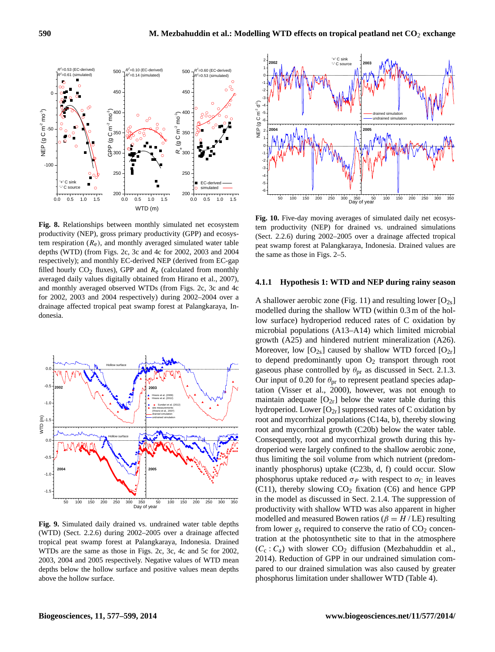

**Fig. 8.** Relationships between monthly simulated net ecosystem productivity (NEP), gross primary productivity (GPP) and ecosystem respiration  $(R_e)$ , and monthly averaged simulated water table depths (WTD) (from Figs. 2c, 3c and 4c for 2002, 2003 and 2004 respectively); and monthly EC-derived NEP (derived from EC-gap filled hourly  $CO<sub>2</sub>$  fluxes), GPP and  $R<sub>e</sub>$  (calculated from monthly averaged daily values digitally obtained from Hirano et al., 2007), and monthly averaged observed WTDs (from Figs. 2c, 3c and 4c for 2002, 2003 and 2004 respectively) during 2002–2004 over a drainage affected tropical peat swamp forest at Palangkaraya, Indonesia.



**Fig. 9.** Simulated daily drained vs. undrained water table depths (WTD) (Sect. 2.2.6) during 2002–2005 over a drainage affected tropical peat swamp forest at Palangkaraya, Indonesia. Drained WTDs are the same as those in Figs. 2c, 3c, 4c and 5c for 2002, 2003, 2004 and 2005 respectively. Negative values of WTD mean depths below the hollow surface and positive values mean depths above the hollow surface.



**Fig. 10.** Five-day moving averages of simulated daily net ecosystem productivity (NEP) for drained vs. undrained simulations (Sect. 2.2.6) during 2002–2005 over a drainage affected tropical peat swamp forest at Palangkaraya, Indonesia. Drained values are the same as those in Figs. 2–5.

## **4.1.1 Hypothesis 1: WTD and NEP during rainy season**

A shallower aerobic zone (Fig. 11) and resulting lower  $[O_{2s}]$ modelled during the shallow WTD (within 0.3 m of the hollow surface) hydroperiod reduced rates of C oxidation by microbial populations (A13–A14) which limited microbial growth (A25) and hindered nutrient mineralization (A26). Moreover, low  $[O_{2s}]$  caused by shallow WTD forced  $[O_{2r}]$ to depend predominantly upon  $O_2$  transport through root gaseous phase controlled by  $\theta_{\text{pr}}$  as discussed in Sect. 2.1.3. Our input of 0.20 for  $\theta_{\text{pr}}$  to represent peatland species adaptation (Visser et al., 2000), however, was not enough to maintain adequate  $[O_{2r}]$  below the water table during this hydroperiod. Lower  $[O_{2r}]$  suppressed rates of C oxidation by root and mycorrhizal populations (C14a, b), thereby slowing root and mycorrhizal growth (C20b) below the water table. Consequently, root and mycorrhizal growth during this hydroperiod were largely confined to the shallow aerobic zone, thus limiting the soil volume from which nutrient (predominantly phosphorus) uptake (C23b, d, f) could occur. Slow phosphorus uptake reduced  $\sigma_P$  with respect to  $\sigma_C$  in leaves (C11), thereby slowing  $CO<sub>2</sub>$  fixation (C6) and hence GPP in the model as discussed in Sect. 2.1.4. The suppression of productivity with shallow WTD was also apparent in higher modelled and measured Bowen ratios ( $\beta = H / L E$ ) resulting from lower  $g_s$  required to conserve the ratio of  $CO<sub>2</sub>$  concentration at the photosynthetic site to that in the atmosphere  $(C_c : C_a)$  with slower  $CO_2$  diffusion (Mezbahuddin et al., 2014). Reduction of GPP in our undrained simulation compared to our drained simulation was also caused by greater phosphorus limitation under shallower WTD (Table 4).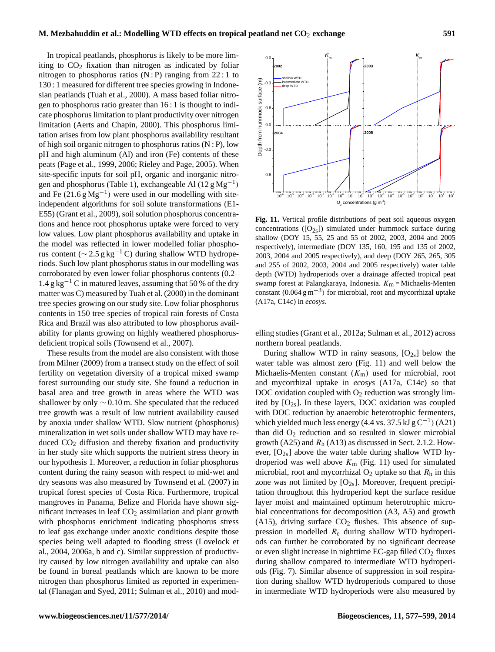In tropical peatlands, phosphorus is likely to be more limiting to CO<sub>2</sub> fixation than nitrogen as indicated by foliar nitrogen to phosphorus ratios (N : P) ranging from 22 : 1 to 130 : 1 measured for different tree species growing in Indonesian peatlands (Tuah et al., 2000). A mass based foliar nitrogen to phosphorus ratio greater than 16 : 1 is thought to indicate phosphorus limitation to plant productivity over nitrogen limitation (Aerts and Chapin, 2000). This phosphorus limitation arises from low plant phosphorus availability resultant of high soil organic nitrogen to phosphorus ratios (N : P), low pH and high aluminum (Al) and iron (Fe) contents of these peats (Page et al., 1999, 2006; Rieley and Page, 2005). When site-specific inputs for soil pH, organic and inorganic nitrogen and phosphorus (Table 1), exchangeable Al  $(12 g Mg<sup>-1</sup>)$ and Fe  $(21.6 g Mg<sup>-1</sup>)$  were used in our modelling with siteindependent algorithms for soil solute transformations (E1- E55) (Grant et al., 2009), soil solution phosphorus concentrations and hence root phosphorus uptake were forced to very low values. Low plant phosphorus availability and uptake in the model was reflected in lower modelled foliar phosphorus content ( $\sim$  2.5 g kg<sup>-1</sup> C) during shallow WTD hydroperiods. Such low plant phosphorus status in our modelling was corroborated by even lower foliar phosphorus contents (0.2–  $1.4$  g kg<sup>-1</sup> C in matured leaves, assuming that 50 % of the dry matter was C) measured by Tuah et al. (2000) in the dominant tree species growing on our study site. Low foliar phosphorus contents in 150 tree species of tropical rain forests of Costa Rica and Brazil was also attributed to low phosphorus availability for plants growing on highly weathered phosphorusdeficient tropical soils (Townsend et al., 2007).

These results from the model are also consistent with those from Milner (2009) from a transect study on the effect of soil fertility on vegetation diversity of a tropical mixed swamp forest surrounding our study site. She found a reduction in basal area and tree growth in areas where the WTD was shallower by only  $\sim 0.10$  m. She speculated that the reduced tree growth was a result of low nutrient availability caused by anoxia under shallow WTD. Slow nutrient (phosphorus) mineralization in wet soils under shallow WTD may have reduced CO<sup>2</sup> diffusion and thereby fixation and productivity in her study site which supports the nutrient stress theory in our hypothesis 1. Moreover, a reduction in foliar phosphorus content during the rainy season with respect to mid-wet and dry seasons was also measured by Townsend et al. (2007) in tropical forest species of Costa Rica. Furthermore, tropical mangroves in Panama, Belize and Florida have shown significant increases in leaf  $CO<sub>2</sub>$  assimilation and plant growth with phosphorus enrichment indicating phosphorus stress to leaf gas exchange under anoxic conditions despite those species being well adapted to flooding stress (Lovelock et al., 2004, 2006a, b and c). Similar suppression of productivity caused by low nitrogen availability and uptake can also be found in boreal peatlands which are known to be more nitrogen than phosphorus limited as reported in experimental (Flanagan and Syed, 2011; Sulman et al., 2010) and mod-



**Fig. 11.** Vertical profile distributions of peat soil aqueous oxygen concentrations  $([O_{2s}])$  simulated under hummock surface during shallow (DOY 15, 55, 25 and 55 of 2002, 2003, 2004 and 2005 respectively), intermediate (DOY 135, 160, 195 and 135 of 2002, 2003, 2004 and 2005 respectively), and deep (DOY 265, 265, 305 and 255 of 2002, 2003, 2004 and 2005 respectively) water table depth (WTD) hydroperiods over a drainage affected tropical peat swamp forest at Palangkaraya, Indonesia.  $K_m$  = Michaelis-Menten constant  $(0.064 \text{ g m}^{-3})$  for microbial, root and mycorrhizal uptake (A17a, C14c) in *ecosys*.

elling studies (Grant et al., 2012a; Sulman et al., 2012) across northern boreal peatlands.

During shallow WTD in rainy seasons,  $[O_{2s}]$  below the water table was almost zero (Fig. 11) and well below the Michaelis-Menten constant  $(K<sub>m</sub>)$  used for microbial, root and mycorrhizal uptake in *ecosys* (A17a, C14c) so that DOC oxidation coupled with  $O<sub>2</sub>$  reduction was strongly limited by  $[O_{2s}]$ . In these layers, DOC oxidation was coupled with DOC reduction by anaerobic heterotrophic fermenters, which yielded much less energy (4.4 vs. 37.5 kJ  $g C^{-1}$ ) (A21) than did  $O_2$  reduction and so resulted in slower microbial growth (A25) and  $R_h$  (A13) as discussed in Sect. 2.1.2. However,  $[O_{2s}]$  above the water table during shallow WTD hydroperiod was well above  $K<sub>m</sub>$  (Fig. 11) used for simulated microbial, root and mycorrhizal  $O_2$  uptake so that  $R_h$  in this zone was not limited by  $[O_{2s}]$ . Moreover, frequent precipitation throughout this hydroperiod kept the surface residue layer moist and maintained optimum heterotrophic microbial concentrations for decomposition (A3, A5) and growth (A15), driving surface  $CO<sub>2</sub>$  flushes. This absence of suppression in modelled  $R_e$  during shallow WTD hydroperiods can further be corroborated by no significant decrease or even slight increase in nighttime  $EC$ -gap filled  $CO<sub>2</sub>$  fluxes during shallow compared to intermediate WTD hydroperiods (Fig. 7). Similar absence of suppression in soil respiration during shallow WTD hydroperiods compared to those in intermediate WTD hydroperiods were also measured by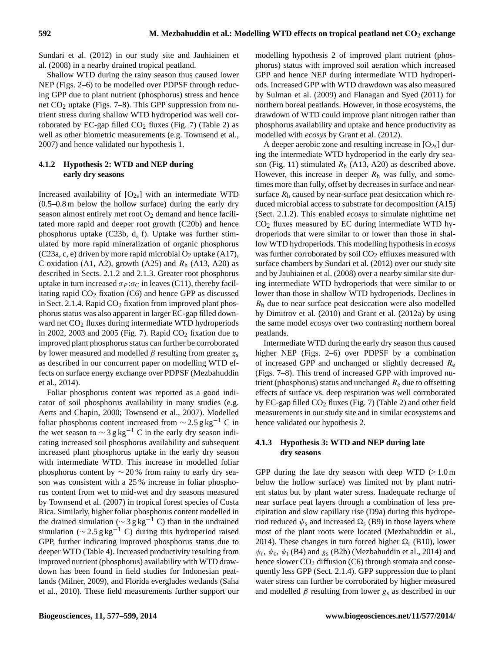Sundari et al. (2012) in our study site and Jauhiainen et al. (2008) in a nearby drained tropical peatland.

Shallow WTD during the rainy season thus caused lower NEP (Figs. 2–6) to be modelled over PDPSF through reducing GPP due to plant nutrient (phosphorus) stress and hence net CO<sup>2</sup> uptake (Figs. 7–8). This GPP suppression from nutrient stress during shallow WTD hydroperiod was well corroborated by EC-gap filled  $CO<sub>2</sub>$  fluxes (Fig. 7) (Table 2) as well as other biometric measurements (e.g. Townsend et al., 2007) and hence validated our hypothesis 1.

# **4.1.2 Hypothesis 2: WTD and NEP during early dry seasons**

Increased availability of  $[O_{2s}]$  with an intermediate WTD (0.5–0.8 m below the hollow surface) during the early dry season almost entirely met root  $O_2$  demand and hence facilitated more rapid and deeper root growth (C20b) and hence phosphorus uptake (C23b, d, f). Uptake was further stimulated by more rapid mineralization of organic phosphorus (C23a, c, e) driven by more rapid microbial  $O_2$  uptake (A17), C oxidation (A1, A2), growth (A25) and  $R_h$  (A13, A20) as described in Sects. 2.1.2 and 2.1.3. Greater root phosphorus uptake in turn increased  $\sigma_P : \sigma_C$  in leaves (C11), thereby facilitating rapid  $CO<sub>2</sub>$  fixation (C6) and hence GPP as discussed in Sect. 2.1.4. Rapid  $CO<sub>2</sub>$  fixation from improved plant phosphorus status was also apparent in larger EC-gap filled downward net CO<sub>2</sub> fluxes during intermediate WTD hydroperiods in 2002, 2003 and 2005 (Fig. 7). Rapid  $CO<sub>2</sub>$  fixation due to improved plant phosphorus status can further be corroborated by lower measured and modelled  $\beta$  resulting from greater  $g_s$ as described in our concurrent paper on modelling WTD effects on surface energy exchange over PDPSF (Mezbahuddin et al., 2014).

Foliar phosphorus content was reported as a good indicator of soil phosphorus availability in many studies (e.g. Aerts and Chapin, 2000; Townsend et al., 2007). Modelled foliar phosphorus content increased from  $\sim$  2.5 g kg<sup>-1</sup> C in the wet season to  $\sim$  3 g kg<sup>-1</sup> C in the early dry season indicating increased soil phosphorus availability and subsequent increased plant phosphorus uptake in the early dry season with intermediate WTD. This increase in modelled foliar phosphorus content by ∼ 20 % from rainy to early dry season was consistent with a 25 % increase in foliar phosphorus content from wet to mid-wet and dry seasons measured by Townsend et al. (2007) in tropical forest species of Costa Rica. Similarly, higher foliar phosphorus content modelled in the drained simulation ( $\sim$  3 g kg<sup>-1</sup> C) than in the undrained simulation ( $\sim$  2.5 g kg<sup>-1</sup> C) during this hydroperiod raised GPP, further indicating improved phosphorus status due to deeper WTD (Table 4). Increased productivity resulting from improved nutrient (phosphorus) availability with WTD drawdown has been found in field studies for Indonesian peatlands (Milner, 2009), and Florida everglades wetlands (Saha et al., 2010). These field measurements further support our modelling hypothesis 2 of improved plant nutrient (phosphorus) status with improved soil aeration which increased GPP and hence NEP during intermediate WTD hydroperiods. Increased GPP with WTD drawdown was also measured by Sulman et al. (2009) and Flanagan and Syed (2011) for northern boreal peatlands. However, in those ecosystems, the drawdown of WTD could improve plant nitrogen rather than phosphorus availability and uptake and hence productivity as modelled with *ecosys* by Grant et al. (2012).

A deeper aerobic zone and resulting increase in  $[O_{2s}]$  during the intermediate WTD hydroperiod in the early dry season (Fig. 11) stimulated  $R_h$  (A13, A20) as described above. However, this increase in deeper  $R_h$  was fully, and sometimes more than fully, offset by decreases in surface and nearsurface  $R<sub>h</sub>$  caused by near-surface peat desiccation which reduced microbial access to substrate for decomposition (A15) (Sect. 2.1.2). This enabled *ecosys* to simulate nighttime net  $CO<sub>2</sub>$  fluxes measured by EC during intermediate WTD hydroperiods that were similar to or lower than those in shallow WTD hydroperiods. This modelling hypothesis in *ecosys* was further corroborated by soil  $CO<sub>2</sub>$  effluxes measured with surface chambers by Sundari et al. (2012) over our study site and by Jauhiainen et al. (2008) over a nearby similar site during intermediate WTD hydroperiods that were similar to or lower than those in shallow WTD hydroperiods. Declines in  $R<sub>h</sub>$  due to near surface peat desiccation were also modelled by Dimitrov et al. (2010) and Grant et al. (2012a) by using the same model *ecosys* over two contrasting northern boreal peatlands.

Intermediate WTD during the early dry season thus caused higher NEP (Figs. 2–6) over PDPSF by a combination of increased GPP and unchanged or slightly decreased  $R_e$ (Figs. 7–8). This trend of increased GPP with improved nutrient (phosphorus) status and unchanged  $R_{e}$  due to offsetting effects of surface vs. deep respiration was well corroborated by EC-gap filled  $CO<sub>2</sub>$  fluxes (Fig. 7) (Table 2) and other field measurements in our study site and in similar ecosystems and hence validated our hypothesis 2.

# **4.1.3 Hypothesis 3: WTD and NEP during late dry seasons**

GPP during the late dry season with deep WTD  $(>1.0 \text{ m})$ below the hollow surface) was limited not by plant nutrient status but by plant water stress. Inadequate recharge of near surface peat layers through a combination of less precipitation and slow capillary rise (D9a) during this hydroperiod reduced  $\psi_s$  and increased  $\Omega_s$  (B9) in those layers where most of the plant roots were located (Mezbahuddin et al., 2014). These changes in turn forced higher  $\Omega_{\rm r}$  (B10), lower  $\psi_r$ ,  $\psi_c$ ,  $\psi_t$  (B4) and  $g_s$  (B2b) (Mezbahuddin et al., 2014) and hence slower  $CO<sub>2</sub>$  diffusion (C6) through stomata and consequently less GPP (Sect. 2.1.4). GPP suppression due to plant water stress can further be corroborated by higher measured and modelled  $\beta$  resulting from lower  $g_s$  as described in our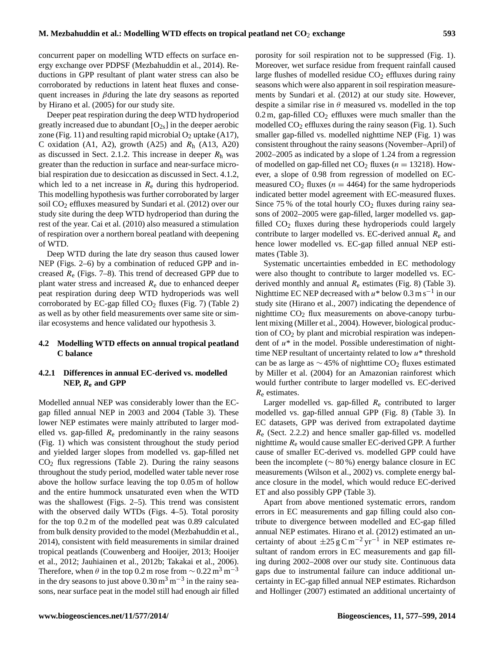concurrent paper on modelling WTD effects on surface energy exchange over PDPSF (Mezbahuddin et al., 2014). Reductions in GPP resultant of plant water stress can also be corroborated by reductions in latent heat fluxes and consequent increases in  $\beta$ during the late dry seasons as reported by Hirano et al. (2005) for our study site.

Deeper peat respiration during the deep WTD hydroperiod greatly increased due to abundant  $[O_{2s}]$  in the deeper aerobic zone (Fig. 11) and resulting rapid microbial  $O_2$  uptake (A17), C oxidation (A1, A2), growth (A25) and  $R_h$  (A13, A20) as discussed in Sect. 2.1.2. This increase in deeper  $R<sub>h</sub>$  was greater than the reduction in surface and near-surface microbial respiration due to desiccation as discussed in Sect. 4.1.2, which led to a net increase in  $R_{\rm e}$  during this hydroperiod. This modelling hypothesis was further corroborated by larger soil CO<sup>2</sup> effluxes measured by Sundari et al. (2012) over our study site during the deep WTD hydroperiod than during the rest of the year. Cai et al. (2010) also measured a stimulation of respiration over a northern boreal peatland with deepening of WTD.

Deep WTD during the late dry season thus caused lower NEP (Figs. 2–6) by a combination of reduced GPP and increased  $R_e$  (Figs. 7–8). This trend of decreased GPP due to plant water stress and increased  $R_{e}$  due to enhanced deeper peat respiration during deep WTD hydroperiods was well corroborated by EC-gap filled  $CO<sub>2</sub>$  fluxes (Fig. 7) (Table 2) as well as by other field measurements over same site or similar ecosystems and hence validated our hypothesis 3.

# **4.2 Modelling WTD effects on annual tropical peatland C balance**

# **4.2.1 Differences in annual EC-derived vs. modelled NEP,** *R***<sup>e</sup> and GPP**

Modelled annual NEP was considerably lower than the ECgap filled annual NEP in 2003 and 2004 (Table 3). These lower NEP estimates were mainly attributed to larger modelled vs. gap-filled  $R_e$  predominantly in the rainy seasons (Fig. 1) which was consistent throughout the study period and yielded larger slopes from modelled vs. gap-filled net  $CO<sub>2</sub>$  flux regressions (Table 2). During the rainy seasons throughout the study period, modelled water table never rose above the hollow surface leaving the top 0.05 m of hollow and the entire hummock unsaturated even when the WTD was the shallowest (Figs. 2–5). This trend was consistent with the observed daily WTDs (Figs. 4–5). Total porosity for the top 0.2 m of the modelled peat was 0.89 calculated from bulk density provided to the model (Mezbahuddin et al., 2014), consistent with field measurements in similar drained tropical peatlands (Couwenberg and Hooijer, 2013; Hooijer et al., 2012; Jauhiainen et al., 2012b; Takakai et al., 2006). Therefore, when  $\theta$  in the top 0.2 m rose from  $\sim$  0.22 m<sup>3</sup> m<sup>-3</sup> in the dry seasons to just above  $0.30 \text{ m}^3 \text{ m}^{-3}$  in the rainy seasons, near surface peat in the model still had enough air filled porosity for soil respiration not to be suppressed (Fig. 1). Moreover, wet surface residue from frequent rainfall caused large flushes of modelled residue  $CO<sub>2</sub>$  effluxes during rainy seasons which were also apparent in soil respiration measurements by Sundari et al. (2012) at our study site. However, despite a similar rise in  $\theta$  measured vs. modelled in the top  $0.2$  m, gap-filled  $CO<sub>2</sub>$  effluxes were much smaller than the modelled  $CO<sub>2</sub>$  effluxes during the rainy season (Fig. 1). Such smaller gap-filled vs. modelled nighttime NEP (Fig. 1) was consistent throughout the rainy seasons (November–April) of 2002–2005 as indicated by a slope of 1.24 from a regression of modelled on gap-filled net  $CO<sub>2</sub>$  fluxes ( $n = 13218$ ). However, a slope of 0.98 from regression of modelled on ECmeasured  $CO<sub>2</sub>$  fluxes ( $n = 4464$ ) for the same hydroperiods indicated better model agreement with EC-measured fluxes. Since  $75\%$  of the total hourly  $CO<sub>2</sub>$  fluxes during rainy seasons of 2002–2005 were gap-filled, larger modelled vs. gapfilled  $CO<sub>2</sub>$  fluxes during these hydroperiods could largely contribute to larger modelled vs. EC-derived annual  $R_e$  and hence lower modelled vs. EC-gap filled annual NEP estimates (Table 3).

Systematic uncertainties embedded in EC methodology were also thought to contribute to larger modelled vs. ECderived monthly and annual  $R_e$  estimates (Fig. 8) (Table 3). Nighttime EC NEP decreased with  $u^*$  below 0.3 m s<sup>-1</sup> in our study site (Hirano et al., 2007) indicating the dependence of nighttime  $CO<sub>2</sub>$  flux measurements on above-canopy turbulent mixing (Miller et al., 2004). However, biological production of  $CO<sub>2</sub>$  by plant and microbial respiration was independent of  $u^*$  in the model. Possible underestimation of nighttime NEP resultant of uncertainty related to low  $u^*$  threshold can be as large as  $\sim$  45% of nighttime CO<sub>2</sub> fluxes estimated by Miller et al. (2004) for an Amazonian rainforest which would further contribute to larger modelled vs. EC-derived  $R_{\rm e}$  estimates.

Larger modelled vs. gap-filled  $R_e$  contributed to larger modelled vs. gap-filled annual GPP (Fig. 8) (Table 3). In EC datasets, GPP was derived from extrapolated daytime  $R_e$  (Sect. 2.2.2) and hence smaller gap-filled vs. modelled nighttime  $R_e$  would cause smaller EC-derived GPP. A further cause of smaller EC-derived vs. modelled GPP could have been the incomplete ( $\sim$  80 %) energy balance closure in EC measurements (Wilson et al., 2002) vs. complete energy balance closure in the model, which would reduce EC-derived ET and also possibly GPP (Table 3).

Apart from above mentioned systematic errors, random errors in EC measurements and gap filling could also contribute to divergence between modelled and EC-gap filled annual NEP estimates. Hirano et al. (2012) estimated an uncertainty of about  $\pm 25$  g C m<sup>-2</sup> yr<sup>-1</sup> in NEP estimates resultant of random errors in EC measurements and gap filling during 2002–2008 over our study site. Continuous data gaps due to instrumental failure can induce additional uncertainty in EC-gap filled annual NEP estimates. Richardson and Hollinger (2007) estimated an additional uncertainty of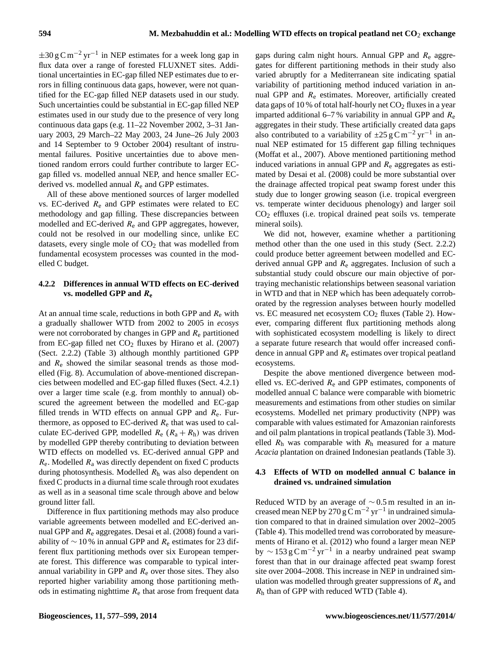$\pm 30 \text{ g C m}^{-2} \text{ yr}^{-1}$  in NEP estimates for a week long gap in flux data over a range of forested FLUXNET sites. Additional uncertainties in EC-gap filled NEP estimates due to errors in filling continuous data gaps, however, were not quantified for the EC-gap filled NEP datasets used in our study. Such uncertainties could be substantial in EC-gap filled NEP estimates used in our study due to the presence of very long continuous data gaps (e.g. 11–22 November 2002, 3–31 January 2003, 29 March–22 May 2003, 24 June–26 July 2003 and 14 September to 9 October 2004) resultant of instrumental failures. Positive uncertainties due to above mentioned random errors could further contribute to larger ECgap filled vs. modelled annual NEP, and hence smaller ECderived vs. modelled annual  $R_e$  and GPP estimates.

All of these above mentioned sources of larger modelled vs. EC-derived  $R_e$  and GPP estimates were related to EC methodology and gap filling. These discrepancies between modelled and EC-derived  $R_e$  and GPP aggregates, however, could not be resolved in our modelling since, unlike EC datasets, every single mole of  $CO<sub>2</sub>$  that was modelled from fundamental ecosystem processes was counted in the modelled C budget.

# **4.2.2 Differences in annual WTD effects on EC-derived vs. modelled GPP and** R**<sup>e</sup>**

At an annual time scale, reductions in both GPP and  $R_e$  with a gradually shallower WTD from 2002 to 2005 in *ecosys* were not corroborated by changes in GPP and  $R_e$  partitioned from EC-gap filled net  $CO<sub>2</sub>$  fluxes by Hirano et al. (2007) (Sect. 2.2.2) (Table 3) although monthly partitioned GPP and  $R_e$  showed the similar seasonal trends as those modelled (Fig. 8). Accumulation of above-mentioned discrepancies between modelled and EC-gap filled fluxes (Sect. 4.2.1) over a larger time scale (e.g. from monthly to annual) obscured the agreement between the modelled and EC-gap filled trends in WTD effects on annual GPP and  $R_e$ . Furthermore, as opposed to EC-derived  $R_e$  that was used to calculate EC-derived GPP, modelled  $R_e$  ( $R_a + R_h$ ) was driven by modelled GPP thereby contributing to deviation between WTD effects on modelled vs. EC-derived annual GPP and  $R_e$ . Modelled  $R_a$  was directly dependent on fixed C products during photosynthesis. Modelled  $R<sub>h</sub>$  was also dependent on fixed C products in a diurnal time scale through root exudates as well as in a seasonal time scale through above and below ground litter fall.

Difference in flux partitioning methods may also produce variable agreements between modelled and EC-derived annual GPP and  $R_e$  aggregates. Desai et al. (2008) found a variability of  $\sim$  10 % in annual GPP and  $R_e$  estimates for 23 different flux partitioning methods over six European temperate forest. This difference was comparable to typical interannual variability in GPP and  $R_e$  over those sites. They also reported higher variability among those partitioning methods in estimating nighttime  $R_e$  that arose from frequent data

gaps during calm night hours. Annual GPP and  $R_e$  aggregates for different partitioning methods in their study also varied abruptly for a Mediterranean site indicating spatial variability of partitioning method induced variation in annual GPP and  $R_e$  estimates. Moreover, artificially created data gaps of 10 % of total half-hourly net  $CO<sub>2</sub>$  fluxes in a year imparted additional 6–7% variability in annual GPP and  $R_e$ aggregates in their study. These artificially created data gaps also contributed to a variability of  $\pm 25$  g C m<sup>-2</sup> yr<sup>-1</sup> in annual NEP estimated for 15 different gap filling techniques (Moffat et al., 2007). Above mentioned partitioning method induced variations in annual GPP and  $R_e$  aggregates as estimated by Desai et al. (2008) could be more substantial over the drainage affected tropical peat swamp forest under this study due to longer growing season (i.e. tropical evergreen vs. temperate winter deciduous phenology) and larger soil  $CO<sub>2</sub>$  effluxes (i.e. tropical drained peat soils vs. temperate mineral soils).

We did not, however, examine whether a partitioning method other than the one used in this study (Sect. 2.2.2) could produce better agreement between modelled and ECderived annual GPP and  $R_e$  aggregates. Inclusion of such a substantial study could obscure our main objective of portraying mechanistic relationships between seasonal variation in WTD and that in NEP which has been adequately corroborated by the regression analyses between hourly modelled vs. EC measured net ecosystem  $CO<sub>2</sub>$  fluxes (Table 2). However, comparing different flux partitioning methods along with sophisticated ecosystem modelling is likely to direct a separate future research that would offer increased confidence in annual GPP and  $R_e$  estimates over tropical peatland ecosystems.

Despite the above mentioned divergence between modelled vs. EC-derived  $R_e$  and GPP estimates, components of modelled annual C balance were comparable with biometric measurements and estimations from other studies on similar ecosystems. Modelled net primary productivity (NPP) was comparable with values estimated for Amazonian rainforests and oil palm plantations in tropical peatlands (Table 3). Modelled  $R_h$  was comparable with  $R_h$  measured for a mature *Acacia* plantation on drained Indonesian peatlands (Table 3).

# **4.3 Effects of WTD on modelled annual C balance in drained vs. undrained simulation**

Reduced WTD by an average of ∼ 0.5 m resulted in an increased mean NEP by 270 g  $\text{C m}^{-2}$  yr<sup>-1</sup> in undrained simulation compared to that in drained simulation over 2002–2005 (Table 4). This modelled trend was corroborated by measurements of Hirano et al. (2012) who found a larger mean NEP by  $\sim 153 \text{ g C m}^{-2} \text{ yr}^{-1}$  in a nearby undrained peat swamp forest than that in our drainage affected peat swamp forest site over 2004–2008. This increase in NEP in undrained simulation was modelled through greater suppressions of  $R_a$  and  $R<sub>h</sub>$  than of GPP with reduced WTD (Table 4).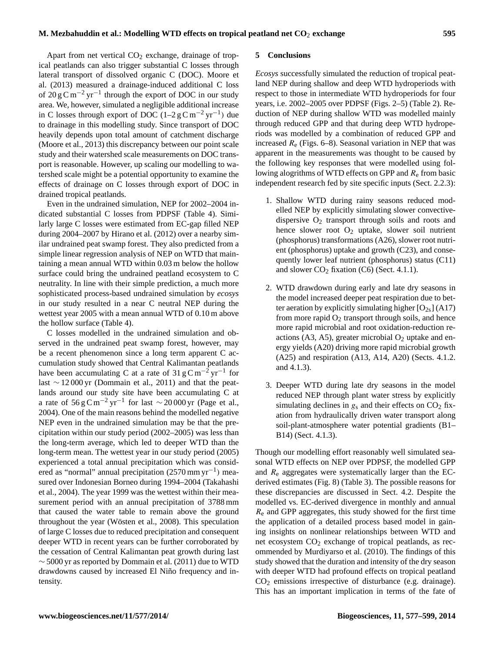Apart from net vertical  $CO<sub>2</sub>$  exchange, drainage of tropical peatlands can also trigger substantial C losses through lateral transport of dissolved organic C (DOC). Moore et al. (2013) measured a drainage-induced additional C loss of 20 g C m<sup>-2</sup> yr<sup>-1</sup> through the export of DOC in our study area. We, however, simulated a negligible additional increase in C losses through export of DOC  $(1-2)$  g C m<sup>-2</sup> yr<sup>-1</sup>) due to drainage in this modelling study. Since transport of DOC heavily depends upon total amount of catchment discharge (Moore et al., 2013) this discrepancy between our point scale study and their watershed scale measurements on DOC transport is reasonable. However, up scaling our modelling to watershed scale might be a potential opportunity to examine the effects of drainage on C losses through export of DOC in drained tropical peatlands.

Even in the undrained simulation, NEP for 2002–2004 indicated substantial C losses from PDPSF (Table 4). Similarly large C losses were estimated from EC-gap filled NEP during 2004–2007 by Hirano et al. (2012) over a nearby similar undrained peat swamp forest. They also predicted from a simple linear regression analysis of NEP on WTD that maintaining a mean annual WTD within 0.03 m below the hollow surface could bring the undrained peatland ecosystem to C neutrality. In line with their simple prediction, a much more sophisticated process-based undrained simulation by *ecosys* in our study resulted in a near C neutral NEP during the wettest year 2005 with a mean annual WTD of 0.10 m above the hollow surface (Table 4).

C losses modelled in the undrained simulation and observed in the undrained peat swamp forest, however, may be a recent phenomenon since a long term apparent C accumulation study showed that Central Kalimantan peatlands have been accumulating C at a rate of 31 g C m<sup>-2</sup> yr<sup>-1</sup> for last ∼ 12 000 yr (Dommain et al., 2011) and that the peatlands around our study site have been accumulating C at a rate of  $56 \text{ g C m}^{-2} \text{ yr}^{-1}$  for last ~20 000 yr (Page et al., 2004). One of the main reasons behind the modelled negative NEP even in the undrained simulation may be that the precipitation within our study period (2002–2005) was less than the long-term average, which led to deeper WTD than the long-term mean. The wettest year in our study period (2005) experienced a total annual precipitation which was considered as "normal" annual precipitation (2570 mm yr<sup>-1</sup>) measured over Indonesian Borneo during 1994–2004 (Takahashi et al., 2004). The year 1999 was the wettest within their measurement period with an annual precipitation of 3788 mm that caused the water table to remain above the ground throughout the year (Wösten et al., 2008). This speculation of large C losses due to reduced precipitation and consequent deeper WTD in recent years can be further corroborated by the cessation of Central Kalimantan peat growth during last ∼ 5000 yr as reported by Dommain et al. (2011) due to WTD drawdowns caused by increased El Niño frequency and intensity.

## **5 Conclusions**

*Ecosys* successfully simulated the reduction of tropical peatland NEP during shallow and deep WTD hydroperiods with respect to those in intermediate WTD hydroperiods for four years, i.e. 2002–2005 over PDPSF (Figs. 2–5) (Table 2). Reduction of NEP during shallow WTD was modelled mainly through reduced GPP and that during deep WTD hydroperiods was modelled by a combination of reduced GPP and increased  $R_e$  (Figs. 6–8). Seasonal variation in NEP that was apparent in the measurements was thought to be caused by the following key responses that were modelled using following alogrithms of WTD effects on GPP and  $R_e$  from basic independent research fed by site specific inputs (Sect. 2.2.3):

- 1. Shallow WTD during rainy seasons reduced modelled NEP by explicitly simulating slower convectivedispersive  $O_2$  transport through soils and roots and hence slower root  $O_2$  uptake, slower soil nutrient (phosphorus) transformations (A26), slower root nutrient (phosphorus) uptake and growth (C23), and consequently lower leaf nutrient (phosphorus) status (C11) and slower  $CO<sub>2</sub>$  fixation (C6) (Sect. 4.1.1).
- 2. WTD drawdown during early and late dry seasons in the model increased deeper peat respiration due to better aeration by explicitly simulating higher  $[O_{2s}] (A17)$ from more rapid  $O_2$  transport through soils, and hence more rapid microbial and root oxidation-reduction reactions (A3, A5), greater microbial  $O_2$  uptake and energy yields (A20) driving more rapid microbial growth (A25) and respiration (A13, A14, A20) (Sects. 4.1.2. and 4.1.3).
- 3. Deeper WTD during late dry seasons in the model reduced NEP through plant water stress by explicitly simulating declines in  $g_s$  and their effects on  $CO<sub>2</sub>$  fixation from hydraulically driven water transport along soil-plant-atmosphere water potential gradients (B1– B14) (Sect. 4.1.3).

Though our modelling effort reasonably well simulated seasonal WTD effects on NEP over PDPSF, the modelled GPP and  $R_e$  aggregates were systematically larger than the ECderived estimates (Fig. 8) (Table 3). The possible reasons for these discrepancies are discussed in Sect. 4.2. Despite the modelled vs. EC-derived divergence in monthly and annual  $R<sub>e</sub>$  and GPP aggregates, this study showed for the first time the application of a detailed process based model in gaining insights on nonlinear relationships between WTD and net ecosystem CO<sub>2</sub> exchange of tropical peatlands, as recommended by Murdiyarso et al. (2010). The findings of this study showed that the duration and intensity of the dry season with deeper WTD had profound effects on tropical peatland  $CO<sub>2</sub>$  emissions irrespective of disturbance (e.g. drainage). This has an important implication in terms of the fate of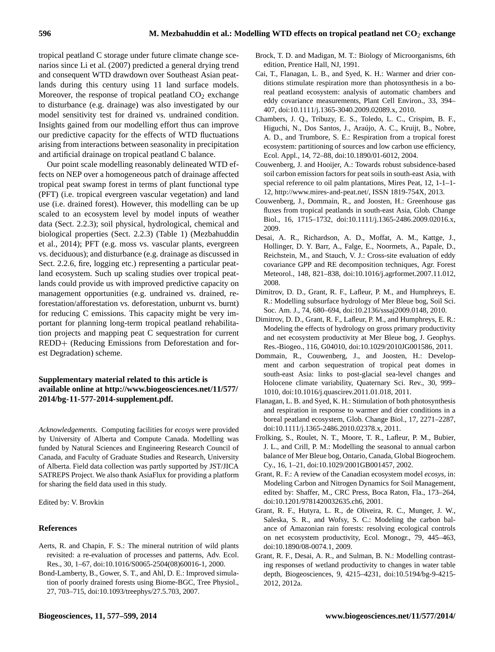tropical peatland C storage under future climate change scenarios since Li et al. (2007) predicted a general drying trend and consequent WTD drawdown over Southeast Asian peatlands during this century using 11 land surface models. Moreover, the response of tropical peatland  $CO<sub>2</sub>$  exchange to disturbance (e.g. drainage) was also investigated by our model sensitivity test for drained vs. undrained condition. Insights gained from our modelling effort thus can improve our predictive capacity for the effects of WTD fluctuations arising from interactions between seasonality in precipitation and artificial drainage on tropical peatland C balance.

Our point scale modelling reasonably delineated WTD effects on NEP over a homogeneous patch of drainage affected tropical peat swamp forest in terms of plant functional type (PFT) (i.e. tropical evergreen vascular vegetation) and land use (i.e. drained forest). However, this modelling can be up scaled to an ecosystem level by model inputs of weather data (Sect. 2.2.3); soil physical, hydrological, chemical and biological properties (Sect. 2.2.3) (Table 1) (Mezbahuddin et al., 2014); PFT (e.g. moss vs. vascular plants, evergreen vs. deciduous); and disturbance (e.g. drainage as discussed in Sect. 2.2.6, fire, logging etc.) representing a particular peatland ecosystem. Such up scaling studies over tropical peatlands could provide us with improved predictive capacity on management opportunities (e.g. undrained vs. drained, reforestation/afforestation vs. deforestation, unburnt vs. burnt) for reducing C emissions. This capacity might be very important for planning long-term tropical peatland rehabilitation projects and mapping peat C sequestration for current REDD+ (Reducing Emissions from Deforestation and forest Degradation) scheme.

# **Supplementary material related to this article is available online at [http://www.biogeosciences.net/11/577/](http://www.biogeosciences.net/11/577/2014/bg-11-577-2014-supplement.pdf) [2014/bg-11-577-2014-supplement.pdf.](http://www.biogeosciences.net/11/577/2014/bg-11-577-2014-supplement.pdf)**

*Acknowledgements.* Computing facilities for *ecosys* were provided by University of Alberta and Compute Canada. Modelling was funded by Natural Sciences and Engineering Research Council of Canada, and Faculty of Graduate Studies and Research, University of Alberta. Field data collection was partly supported by JST/JICA SATREPS Project. We also thank AsiaFlux for providing a platform for sharing the field data used in this study.

Edited by: V. Brovkin

# **References**

- Aerts, R. and Chapin, F. S.: The mineral nutrition of wild plants revisited: a re-evaluation of processes and patterns, Adv. Ecol. Res., 30, 1–67, doi[:10.1016/S0065-2504\(08\)60016-1,](http://dx.doi.org/10.1016/S0065-2504(08)60016-1) 2000.
- Bond-Lamberty, B., Gower, S. T., and Ahl, D. E.: Improved simulation of poorly drained forests using Biome-BGC, Tree Physiol., 27, 703–715, doi[:10.1093/treephys/27.5.703,](http://dx.doi.org/10.1093/treephys/27.5.703) 2007.
- Brock, T. D. and Madigan, M. T.: Biology of Microorganisms, 6th edition, Prentice Hall, NJ, 1991.
- Cai, T., Flanagan, L. B., and Syed, K. H.: Warmer and drier conditions stimulate respiration more than photosynthesis in a boreal peatland ecosystem: analysis of automatic chambers and eddy covariance measurements, Plant Cell Environ., 33, 394– 407, doi[:10.1111/j.1365-3040.2009.02089.x,](http://dx.doi.org/10.1111/j.1365-3040.2009.02089.x) 2010.
- Chambers, J. Q., Tribuzy, E. S., Toledo, L. C., Crispim, B. F., Higuchi, N., Dos Santos, J., Araújo, A. C., Kruijt, B., Nobre, A. D., and Trumbore, S. E.: Respiration from a tropical forest ecosystem: partitioning of sources and low carbon use efficiency, Ecol. Appl., 14, 72–88, doi[:10.1890/01-6012,](http://dx.doi.org/10.1890/01-6012) 2004.
- Couwenberg, J. and Hooijer, A.: Towards robust subsidence-based soil carbon emission factors for peat soils in south-east Asia, with special reference to oil palm plantations, Mires Peat, 12, 1-1–1- 12, [http://www.mires-and-peat.net/,](http://www.mires-and-peat.net/) ISSN 1819-754X, 2013.
- Couwenberg, J., Dommain, R., and Joosten, H.: Greenhouse gas fluxes from tropical peatlands in south-east Asia, Glob. Change Biol., 16, 1715–1732, doi[:10.1111/j.1365-2486.2009.02016.x,](http://dx.doi.org/10.1111/j.1365-2486.2009.02016.x) 2009.
- Desai, A. R., Richardson, A. D., Moffat, A. M., Kattge, J., Hollinger, D. Y. Barr, A., Falge, E., Noormets, A., Papale, D., Reichstein, M., and Stauch, V. J.: Cross-site evaluation of eddy covariance GPP and RE decomposition techniques, Agr. Forest Meteorol., 148, 821–838, doi[:10.1016/j.agrformet.2007.11.012,](http://dx.doi.org/10.1016/j.agrformet.2007.11.012) 2008.
- Dimitrov, D. D., Grant, R. F., Lafleur, P. M., and Humphreys, E. R.: Modelling subsurface hydrology of Mer Bleue bog, Soil Sci. Soc. Am. J., 74, 680–694, doi[:10.2136/sssaj2009.0148,](http://dx.doi.org/10.2136/sssaj2009.0148) 2010.
- Dimitrov, D. D., Grant, R. F., Lafleur, P. M., and Humphreys, E. R.: Modeling the effects of hydrology on gross primary productivity and net ecosystem productivity at Mer Bleue bog, J. Geophys. Res.-Biogeo., 116, G04010, doi[:10.1029/2010JG001586,](http://dx.doi.org/10.1029/2010JG001586) 2011.
- Dommain, R., Couwenberg, J., and Joosten, H.: Development and carbon sequestration of tropical peat domes in south-east Asia: links to post-glacial sea-level changes and Holocene climate variability, Quaternary Sci. Rev., 30, 999– 1010, doi[:10.1016/j.quascirev.2011.01.018,](http://dx.doi.org/10.1016/j.quascirev.2011.01.018) 2011.
- Flanagan, L. B. and Syed, K. H.: Stimulation of both photosynthesis and respiration in response to warmer and drier conditions in a boreal peatland ecosystem, Glob. Change Biol., 17, 2271–2287, doi[:10.1111/j.1365-2486.2010.02378.x,](http://dx.doi.org/10.1111/j.1365-2486.2010.02378.x) 2011.
- Frolking, S., Roulet, N. T., Moore, T. R., Lafleur, P. M., Bubier, J. L., and Crill, P. M.: Modelling the seasonal to annual carbon balance of Mer Bleue bog, Ontario, Canada, Global Biogeochem. Cy., 16, 1–21, doi[:10.1029/2001GB001457,](http://dx.doi.org/10.1029/2001GB001457) 2002.
- Grant, R. F.: A review of the Canadian ecosystem model *ecosys*, in: Modeling Carbon and Nitrogen Dynamics for Soil Management, edited by: Shaffer, M., CRC Press, Boca Raton, Fla., 173–264, doi[:10.1201/9781420032635.ch6,](http://dx.doi.org/10.1201/9781420032635.ch6) 2001.
- Grant, R. F., Hutyra, L. R., de Oliveira, R. C., Munger, J. W., Saleska, S. R., and Wofsy, S. C.: Modeling the carbon balance of Amazonian rain forests: resolving ecological controls on net ecosystem productivity, Ecol. Monogr., 79, 445–463, doi[:10.1890/08-0074.1,](http://dx.doi.org/10.1890/08-0074.1) 2009.
- Grant, R. F., Desai, A. R., and Sulman, B. N.: Modelling contrasting responses of wetland productivity to changes in water table depth, Biogeosciences, 9, 4215–4231, doi[:10.5194/bg-9-4215-](http://dx.doi.org/10.5194/bg-9-4215-2012) [2012,](http://dx.doi.org/10.5194/bg-9-4215-2012) 2012a.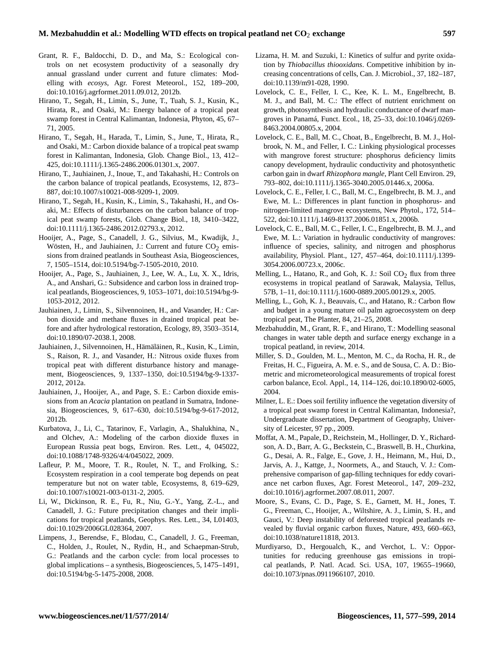- Grant, R. F., Baldocchi, D. D., and Ma, S.: Ecological controls on net ecosystem productivity of a seasonally dry annual grassland under current and future climates: Modelling with *ecosys*, Agr. Forest Meteorol., 152, 189–200, doi[:10.1016/j.agrformet.2011.09.012,](http://dx.doi.org/10.1016/j.agrformet.2011.09.012) 2012b.
- Hirano, T., Segah, H., Limin, S., June, T., Tuah, S. J., Kusin, K., Hirata, R., and Osaki, M.: Energy balance of a tropical peat swamp forest in Central Kalimantan, Indonesia, Phyton, 45, 67– 71, 2005.
- Hirano, T., Segah, H., Harada, T., Limin, S., June, T., Hirata, R., and Osaki, M.: Carbon dioxide balance of a tropical peat swamp forest in Kalimantan, Indonesia, Glob. Change Biol., 13, 412– 425, doi[:10.1111/j.1365-2486.2006.01301.x,](http://dx.doi.org/10.1111/j.1365-2486.2006.01301.x) 2007.
- Hirano, T., Jauhiainen, J., Inoue, T., and Takahashi, H.: Controls on the carbon balance of tropical peatlands, Ecosystems, 12, 873– 887, doi[:10.1007/s10021-008-9209-1,](http://dx.doi.org/10.1007/s10021-008-9209-1) 2009.
- Hirano, T., Segah, H., Kusin, K., Limin, S., Takahashi, H., and Osaki, M.: Effects of disturbances on the carbon balance of tropical peat swamp forests, Glob. Change Biol., 18, 3410–3422, doi[:10.1111/j.1365-2486.2012.02793.x,](http://dx.doi.org/10.1111/j.1365-2486.2012.02793.x) 2012.
- Hooijer, A., Page, S., Canadell, J. G., Silvius, M., Kwadijk, J., Wösten, H., and Jauhiainen, J.: Current and future  $CO<sub>2</sub>$  emissions from drained peatlands in Southeast Asia, Biogeosciences, 7, 1505–1514, doi[:10.5194/bg-7-1505-2010,](http://dx.doi.org/10.5194/bg-7-1505-2010) 2010.
- Hooijer, A., Page, S., Jauhiainen, J., Lee, W. A., Lu, X. X., Idris, A., and Anshari, G.: Subsidence and carbon loss in drained tropical peatlands, Biogeosciences, 9, 1053–1071, doi[:10.5194/bg-9-](http://dx.doi.org/10.5194/bg-9-1053-2012) [1053-2012,](http://dx.doi.org/10.5194/bg-9-1053-2012) 2012.
- Jauhiainen, J., Limin, S., Silvennoinen, H., and Vasander, H.: Carbon dioxide and methane fluxes in drained tropical peat before and after hydrological restoration, Ecology, 89, 3503–3514, doi[:10.1890/07-2038.1,](http://dx.doi.org/10.1890/07-2038.1) 2008.
- Jauhiainen, J., Silvennoinen, H., Hämäläinen, R., Kusin, K., Limin, S., Raison, R. J., and Vasander, H.: Nitrous oxide fluxes from tropical peat with different disturbance history and management, Biogeosciences, 9, 1337–1350, doi[:10.5194/bg-9-1337-](http://dx.doi.org/10.5194/bg-9-1337-2012) [2012,](http://dx.doi.org/10.5194/bg-9-1337-2012) 2012a.
- Jauhiainen, J., Hooijer, A., and Page, S. E.: Carbon dioxide emissions from an *Acacia* plantation on peatland in Sumatra, Indonesia, Biogeosciences, 9, 617–630, doi[:10.5194/bg-9-617-2012,](http://dx.doi.org/10.5194/bg-9-617-2012) 2012b.
- Kurbatova, J., Li, C., Tatarinov, F., Varlagin, A., Shalukhina, N., and Olchev, A.: Modeling of the carbon dioxide fluxes in European Russia peat bogs, Environ. Res. Lett., 4, 045022, doi[:10.1088/1748-9326/4/4/045022,](http://dx.doi.org/10.1088/1748-9326/4/4/045022) 2009.
- Lafleur, P. M., Moore, T. R., Roulet, N. T., and Frolking, S.: Ecosystem respiration in a cool temperate bog depends on peat temperature but not on water table, Ecosystems, 8, 619–629, doi[:10.1007/s10021-003-0131-2,](http://dx.doi.org/10.1007/s10021-003-0131-2) 2005.
- Li, W., Dickinson, R. E., Fu, R., Niu, G.-Y., Yang, Z.-L., and Canadell, J. G.: Future precipitation changes and their implications for tropical peatlands, Geophys. Res. Lett., 34, L01403, doi[:10.1029/2006GL028364,](http://dx.doi.org/10.1029/2006GL028364) 2007.
- Limpens, J., Berendse, F., Blodau, C., Canadell, J. G., Freeman, C., Holden, J., Roulet, N., Rydin, H., and Schaepman-Strub, G.: Peatlands and the carbon cycle: from local processes to global implications – a synthesis, Biogeosciences, 5, 1475–1491, doi[:10.5194/bg-5-1475-2008,](http://dx.doi.org/10.5194/bg-5-1475-2008) 2008.
- Lizama, H. M. and Suzuki, I.: Kinetics of sulfur and pyrite oxidation by *Thiobacillus thiooxidans*. Competitive inhibition by increasing concentrations of cells, Can. J. Microbiol., 37, 182–187, doi[:10.1139/m91-028,](http://dx.doi.org/10.1139/m91-028) 1990.
- Lovelock, C. E., Feller, I. C., Kee, K. L. M., Engelbrecht, B. M. J., and Ball, M. C.: The effect of nutrient enrichment on growth, photosynthesis and hydraulic conductance of dwarf mangroves in Panamá, Funct. Ecol., 18, 25–33, doi[:10.1046/j.0269-](http://dx.doi.org/10.1046/j.0269-8463.2004.00805.x) [8463.2004.00805.x,](http://dx.doi.org/10.1046/j.0269-8463.2004.00805.x) 2004.
- Lovelock, C. E., Ball, M. C., Choat, B., Engelbrecht, B. M. J., Holbrook, N. M., and Feller, I. C.: Linking physiological processes with mangrove forest structure: phosphorus deficiency limits canopy development, hydraulic conductivity and photosynthetic carbon gain in dwarf *Rhizophora mangle*, Plant Cell Environ. 29, 793–802, doi[:10.1111/j.1365-3040.2005.01446.x,](http://dx.doi.org/10.1111/j.1365-3040.2005.01446.x) 2006a.
- Lovelock, C. E., Feller, I. C., Ball, M. C., Engelbrecht, B. M. J., and Ewe, M. L.: Differences in plant function in phosphorus- and nitrogen-limited mangrove ecosystems, New Phytol., 172, 514– 522, doi[:10.1111/j.1469-8137.2006.01851.x,](http://dx.doi.org/10.1111/j.1469-8137.2006.01851.x) 2006b.
- Lovelock, C. E., Ball, M. C., Feller, I. C., Engelbrecht, B. M. J., and Ewe, M. L.: Variation in hydraulic conductivity of mangroves: influence of species, salinity, and nitrogen and phosphorus availability, Physiol. Plant., 127, 457–464, doi[:10.1111/j.1399-](http://dx.doi.org/10.1111/j.1399-3054.2006.00723.x) [3054.2006.00723.x,](http://dx.doi.org/10.1111/j.1399-3054.2006.00723.x) 2006c.
- Melling, L., Hatano, R., and Goh, K. J.: Soil  $CO<sub>2</sub>$  flux from three ecosystems in tropical peatland of Sarawak, Malaysia, Tellus, 57B, 1–11, doi[:10.1111/j.1600-0889.2005.00129.x,](http://dx.doi.org/10.1111/j.1600-0889.2005.00129.x) 2005.
- Melling, L., Goh, K. J., Beauvais, C., and Hatano, R.: Carbon flow and budget in a young mature oil palm agroecosystem on deep tropical peat, The Planter, 84, 21–25, 2008.
- Mezbahuddin, M., Grant, R. F., and Hirano, T.: Modelling seasonal changes in water table depth and surface energy exchange in a tropical peatland, in review, 2014.
- Miller, S. D., Goulden, M. L., Menton, M. C., da Rocha, H. R., de Freitas, H. C., Figueira, A. M. e. S., and de Sousa, C. A. D.: Biometric and micrometeorological measurements of tropical forest carbon balance, Ecol. Appl., 14, 114–126, doi[:10.1890/02-6005,](http://dx.doi.org/10.1890/02-6005) 2004.
- Milner, L. E.: Does soil fertility influence the vegetation diversity of a tropical peat swamp forest in Central Kalimantan, Indonesia?, Undergraduate dissertation, Department of Geography, University of Leicester, 97 pp., 2009.
- Moffat, A. M., Papale, D., Reichstein, M., Hollinger, D. Y., Richardson, A. D., Barr, A. G., Beckstein, C., Braswell, B. H., Churkina, G., Desai, A. R., Falge, E., Gove, J. H., Heimann, M., Hui, D., Jarvis, A. J., Kattge, J., Noormets, A., and Stauch, V. J.: Comprehensive comparison of gap-filling techniques for eddy covariance net carbon fluxes, Agr. Forest Meteorol., 147, 209–232, doi[:10.1016/j.agrformet.2007.08.011,](http://dx.doi.org/10.1016/j.agrformet.2007.08.011) 2007.
- Moore, S., Evans, C. D., Page, S. E., Garnett, M. H., Jones, T. G., Freeman, C., Hooijer, A., Wiltshire, A. J., Limin, S. H., and Gauci, V.: Deep instability of deforested tropical peatlands revealed by fluvial organic carbon fluxes, Nature, 493, 660–663, doi[:10.1038/nature11818,](http://dx.doi.org/10.1038/nature11818) 2013.
- Murdiyarso, D., Hergoualch, K., and Verchot, L. V.: Opportunities for reducing greenhouse gas emissions in tropical peatlands, P. Natl. Acad. Sci. USA, 107, 19655–19660, doi[:10.1073/pnas.0911966107,](http://dx.doi.org/10.1073/pnas.0911966107) 2010.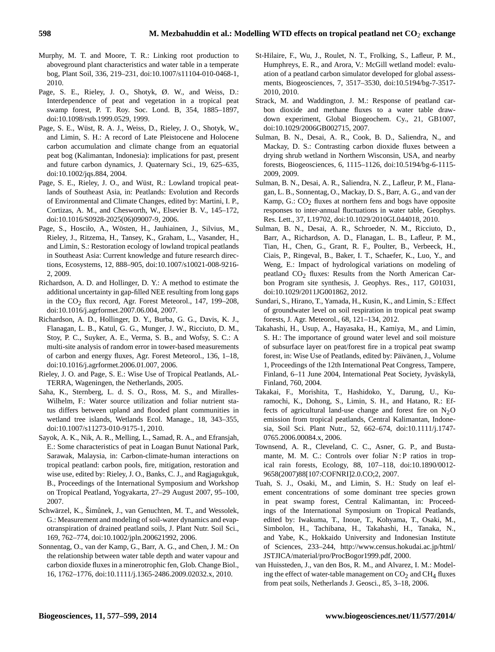- Murphy, M. T. and Moore, T. R.: Linking root production to aboveground plant characteristics and water table in a temperate bog, Plant Soil, 336, 219–231, doi[:10.1007/s11104-010-0468-1,](http://dx.doi.org/10.1007/s11104-010-0468-1) 2010.
- Page, S. E., Rieley, J. O., Shotyk, Ø. W., and Weiss, D.: Interdependence of peat and vegetation in a tropical peat swamp forest, P. T. Roy. Soc. Lond. B, 354, 1885–1897, doi[:10.1098/rstb.1999.0529,](http://dx.doi.org/10.1098/rstb.1999.0529) 1999.
- Page, S. E., Wüst, R. A. J., Weiss, D., Rieley, J. O., Shotyk, W., and Limin, S. H.: A record of Late Pleistocene and Holocene carbon accumulation and climate change from an equatorial peat bog (Kalimantan, Indonesia): implications for past, present and future carbon dynamics, J. Quaternary Sci., 19, 625–635, doi[:10.1002/jqs.884,](http://dx.doi.org/10.1002/jqs.884) 2004.
- Page, S. E., Rieley, J. O., and Wüst, R.: Lowland tropical peatlands of Southeast Asia, in: Peatlands: Evolution and Records of Environmental and Climate Changes, edited by: Martini, I. P., Cortizas, A. M., and Chesworth, W., Elsevier B. V., 145–172, doi[:10.1016/S0928-2025\(06\)09007-9,](http://dx.doi.org/10.1016/S0928-2025(06)09007-9) 2006.
- Page, S., Hosciło, A., Wösten, H., Jauhiainen, J., Silvius, M., Rieley, J., Ritzema, H., Tansey, K., Graham, L., Vasander, H., and Limin, S.: Restoration ecology of lowland tropical peatlands in Southeast Asia: Current knowledge and future research directions, Ecosystems, 12, 888–905, doi[:10.1007/s10021-008-9216-](http://dx.doi.org/10.1007/s10021-008-9216-2) [2,](http://dx.doi.org/10.1007/s10021-008-9216-2) 2009.
- Richardson, A. D. and Hollinger, D. Y.: A method to estimate the additional uncertainty in gap-filled NEE resulting from long gaps in the  $CO<sub>2</sub>$  flux record, Agr. Forest Meteorol., 147, 199–208, doi[:10.1016/j.agrformet.2007.06.004,](http://dx.doi.org/10.1016/j.agrformet.2007.06.004) 2007.
- Richardson, A. D., Hollinger, D. Y., Burba, G. G., Davis, K. J., Flanagan, L. B., Katul, G. G., Munger, J. W., Ricciuto, D. M., Stoy, P. C., Suyker, A. E., Verma, S. B., and Wofsy, S. C.: A multi-site analysis of random error in tower-based measurements of carbon and energy fluxes, Agr. Forest Meteorol., 136, 1–18, doi[:10.1016/j.agrformet.2006.01.007,](http://dx.doi.org/10.1016/j.agrformet.2006.01.007) 2006.
- Rieley, J. O. and Page, S. E.: Wise Use of Tropical Peatlands, AL-TERRA, Wageningen, the Netherlands, 2005.
- Saha, K., Sternberg, L. d. S. O., Ross, M. S., and Miralles-Wilhelm, F.: Water source utilization and foliar nutrient status differs between upland and flooded plant communities in wetland tree islands, Wetlands Ecol. Manage., 18, 343–355, doi[:10.1007/s11273-010-9175-1,](http://dx.doi.org/10.1007/s11273-010-9175-1) 2010.
- Sayok, A. K., Nik, A. R., Melling, L., Samad, R. A., and Efransjah, E.: Some characteristics of peat in Loagan Bunut National Park, Sarawak, Malaysia, in: Carbon-climate-human interactions on tropical peatland: carbon pools, fire, mitigation, restoration and wise use, edited by: Rieley, J. O., Banks, C. J., and Ragjagukguk, B., Proceedings of the International Symposium and Workshop on Tropical Peatland, Yogyakarta, 27–29 August 2007, 95–100, 2007.
- Schwärzel, K., Šimůnek, J., van Genuchten, M. T., and Wessolek, G.: Measurement and modeling of soil-water dynamics and evapotranspiration of drained peatland soils, J. Plant Nutr. Soil Sci., 169, 762–774, doi[:10.1002/jpln.200621992,](http://dx.doi.org/10.1002/jpln.200621992) 2006.
- Sonnentag, O., van der Kamp, G., Barr, A. G., and Chen, J. M.: On the relationship between water table depth and water vapour and carbon dioxide fluxes in a minerotrophic fen, Glob. Change Biol., 16, 1762–1776, doi[:10.1111/j.1365-2486.2009.02032.x,](http://dx.doi.org/10.1111/j.1365-2486.2009.02032.x) 2010.
- St-Hilaire, F., Wu, J., Roulet, N. T., Frolking, S., Lafleur, P. M., Humphreys, E. R., and Arora, V.: McGill wetland model: evaluation of a peatland carbon simulator developed for global assessments, Biogeosciences, 7, 3517–3530, doi[:10.5194/bg-7-3517-](http://dx.doi.org/10.5194/bg-7-3517-2010) [2010,](http://dx.doi.org/10.5194/bg-7-3517-2010) 2010.
- Strack, M. and Waddington, J. M.: Response of peatland carbon dioxide and methane fluxes to a water table drawdown experiment, Global Biogeochem. Cy., 21, GB1007, doi[:10.1029/2006GB002715,](http://dx.doi.org/10.1029/2006GB002715) 2007.
- Sulman, B. N., Desai, A. R., Cook, B. D., Saliendra, N., and Mackay, D. S.: Contrasting carbon dioxide fluxes between a drying shrub wetland in Northern Wisconsin, USA, and nearby forests, Biogeosciences, 6, 1115–1126, doi[:10.5194/bg-6-1115-](http://dx.doi.org/10.5194/bg-6-1115-2009) [2009,](http://dx.doi.org/10.5194/bg-6-1115-2009) 2009.
- Sulman, B. N., Desai, A. R., Saliendra, N. Z., Lafleur, P. M., Flanagan, L. B., Sonnentag, O., Mackay, D. S., Barr, A. G., and van der Kamp, G.:  $CO<sub>2</sub>$  fluxes at northern fens and bogs have opposite responses to inter-annual fluctuations in water table, Geophys. Res. Lett., 37, L19702, doi[:10.1029/2010GL044018,](http://dx.doi.org/10.1029/2010GL044018) 2010.
- Sulman, B. N., Desai, A. R., Schroeder, N. M., Ricciuto, D., Barr, A., Richardson, A. D., Flanagan, L. B., Lafleur, P. M., Tian, H., Chen, G., Grant, R. F., Poulter, B., Verbeeck, H., Ciais, P., Ringeval, B., Baker, I. T., Schaefer, K., Luo, Y., and Weng, E.: Impact of hydrological variations on modeling of peatland CO<sub>2</sub> fluxes: Results from the North American Carbon Program site synthesis, J. Geophys. Res., 117, G01031, doi[:10.1029/2011JG001862,](http://dx.doi.org/10.1029/2011JG001862) 2012.
- Sundari, S., Hirano, T., Yamada, H., Kusin, K., and Limin, S.: Effect of groundwater level on soil respiration in tropical peat swamp forests, J. Agr. Meteorol., 68, 121–134, 2012.
- Takahashi, H., Usup, A., Hayasaka, H., Kamiya, M., and Limin, S. H.: The importance of ground water level and soil moisture of subsurface layer on peat/forest fire in a tropical peat swamp forest, in: Wise Use of Peatlands, edited by: Päivänen, J., Volume 1, Proceedings of the 12th International Peat Congress, Tampere, Finland, 6–11 June 2004, International Peat Society, Jyväskylä, Finland, 760, 2004.
- Takakai, F., Morishita, T., Hashidoko, Y., Darung, U., Kuramochi, K., Dohong, S., Limin, S. H., and Hatano, R.: Effects of agricultural land-use change and forest fire on  $N<sub>2</sub>O$ emission from tropical peatlands, Central Kalimantan, Indonesia, Soil Sci. Plant Nutr., 52, 662–674, doi[:10.1111/j.1747-](http://dx.doi.org/10.1111/j.1747-0765.2006.00084.x) [0765.2006.00084.x,](http://dx.doi.org/10.1111/j.1747-0765.2006.00084.x) 2006.
- Townsend, A. R., Cleveland, C. C., Asner, G. P., and Bustamante, M. M. C.: Controls over foliar N:P ratios in tropical rain forests, Ecology, 88, 107–118, doi[:10.1890/0012-](http://dx.doi.org/10.1890/0012-9658(2007)88[107:COFNRI]2.0.CO;2) [9658\(2007\)88\[107:COFNRI\]2.0.CO;2,](http://dx.doi.org/10.1890/0012-9658(2007)88[107:COFNRI]2.0.CO;2) 2007.
- Tuah, S. J., Osaki, M., and Limin, S. H.: Study on leaf element concentrations of some dominant tree species grown in peat swamp forest, Central Kalimantan, in: Proceedings of the International Symposium on Tropical Peatlands, edited by: Iwakuma, T., Inoue, T., Kohyama, T., Osaki, M., Simbolon, H., Tachibana, H., Takahashi, H., Tanaka, N., and Yabe, K., Hokkaido University and Indonesian Institute of Sciences, 233–244, [http://www.census.hokudai.ac.jp/html/](http://www.census.hokudai.ac.jp/html/JSTJICA/material/pro/ProcBogor1999.pdf) [JSTJICA/material/pro/ProcBogor1999.pdf,](http://www.census.hokudai.ac.jp/html/JSTJICA/material/pro/ProcBogor1999.pdf) 2000.
- van Huissteden, J., van den Bos, R. M., and Alvarez, I. M.: Modeling the effect of water-table management on  $CO<sub>2</sub>$  and  $CH<sub>4</sub>$  fluxes from peat soils, Netherlands J. Geosci., 85, 3–18, 2006.